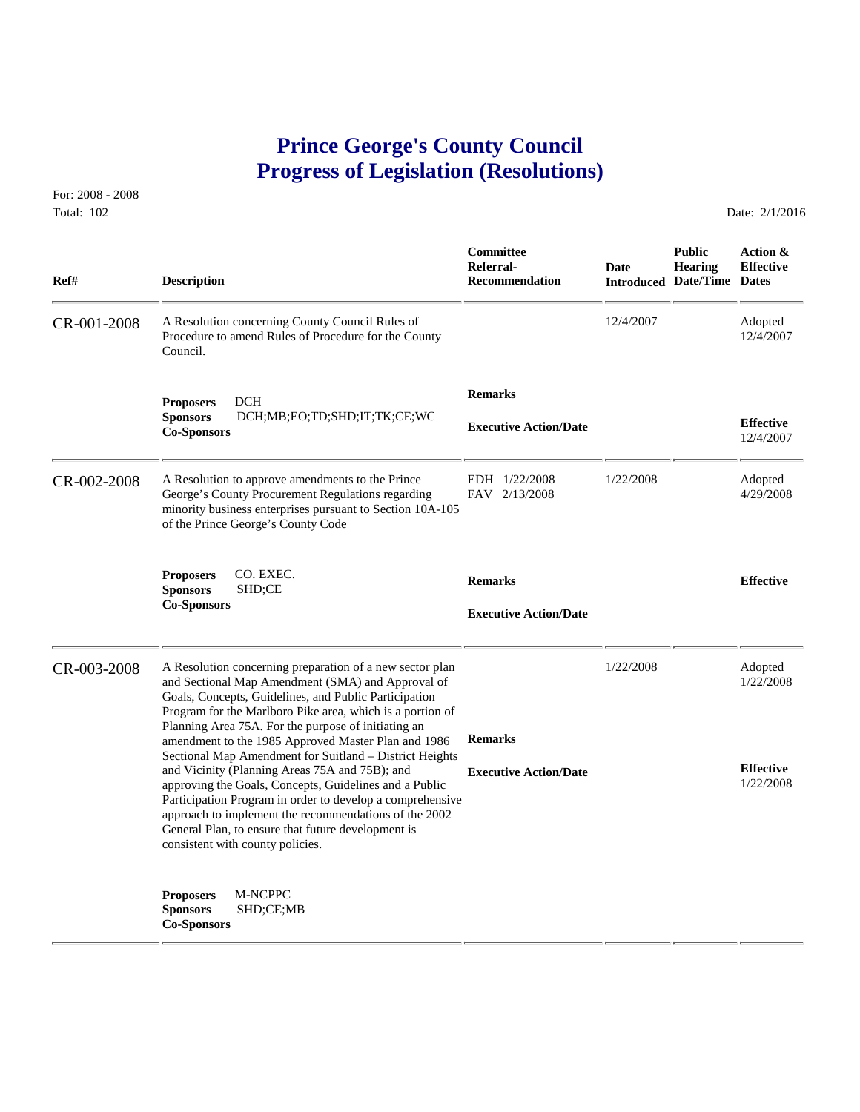# **Prince George's County Council Progress of Legislation (Resolutions)**

For: 2008 - 2008 Total: 102 Date: 2/1/2016

 **Committee Public Action & Referral- Date Hearing Effective Ref# Description Recommendation Introduced Date/Time Dates** CR-001-2008 A Resolution concerning County Council Rules of 12/4/2007 Adopted<br>Procedure to amend Rules of Procedure for the County 12/4/2007 12/4/2007 Procedure to amend Rules of Procedure for the County Council.  **Remarks Proposers** DCH **Sponsors** DCH;MB;EO;TD;SHD;IT;TK;CE;WC **Effective Executive Action/Date Co-Sponsors** 12/4/2007 CR-002-2008 A Resolution to approve amendments to the Prince EDH 1/22/2008 1/22/2008 Adopted George's County Procurement Regulations regarding FAV 2/13/2008 4/29/2008 4/29/2008 George's County Procurement Regulations regarding minority business enterprises pursuant to Section 10A-105 of the Prince George's County Code **Proposers** CO. EXEC. **Remarks Effective Sponsors** SHD;CE **Co-Sponsors Executive Action/Date** CR-003-2008 A Resolution concerning preparation of a new sector plan 1/22/2008 Adopted<br>and Sectional Map Amendment (SMA) and Approval of 1/22/2008 1/22/2008 and Sectional Map Amendment (SMA) and Approval of Goals, Concepts, Guidelines, and Public Participation Program for the Marlboro Pike area, which is a portion of Planning Area 75A. For the purpose of initiating an amendment to the 1985 Approved Master Plan and 1986 **Remarks** Sectional Map Amendment for Suitland – District Heights and Vicinity (Planning Areas 75A and 75B); and **Executive Action/Date Effective Effective Effective Effective Effective Effective Effective Effective Effective Effective Effective Effective Execut** approving the Goals, Concepts, Guidelines and a Public Participation Program in order to develop a comprehensive approach to implement the recommendations of the 2002 General Plan, to ensure that future development is consistent with county policies. **Proposers** M-NCPPC **Sponsors** SHD;CE;MB **Co-Sponsors**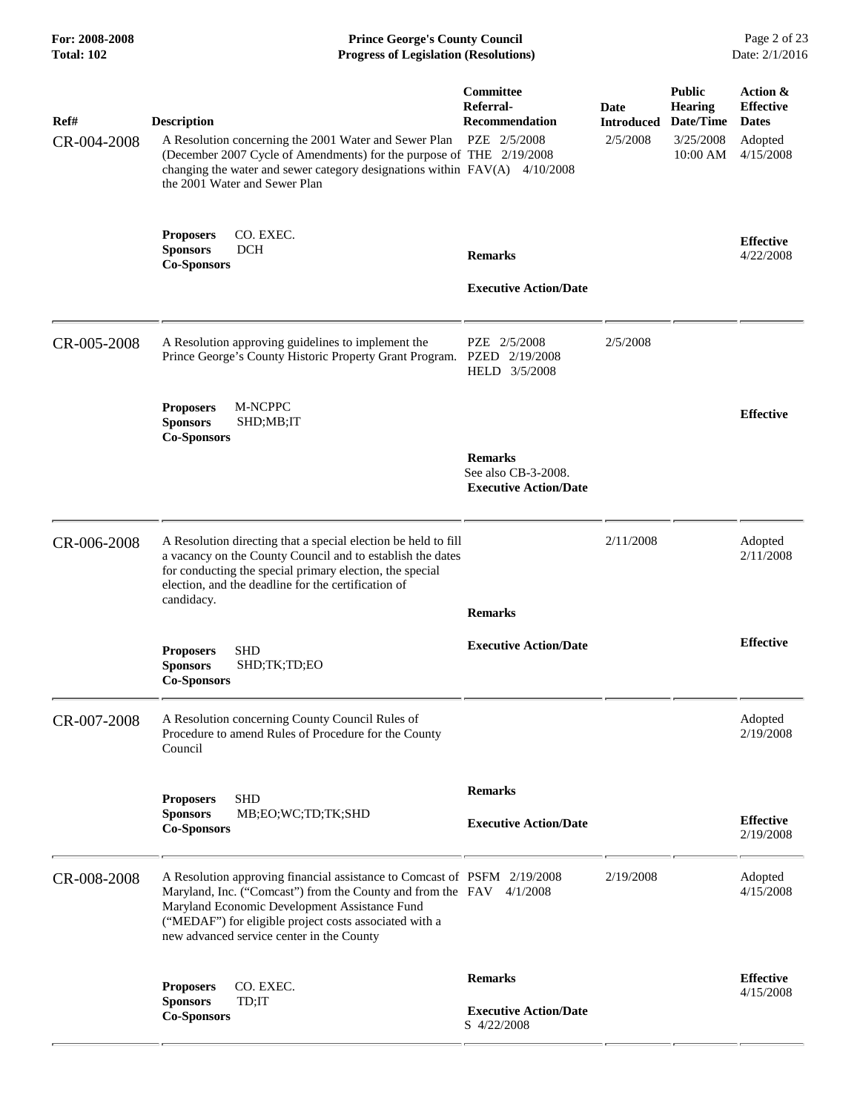| For: 2008-2008<br><b>Total: 102</b> |                                                           | <b>Prince George's County Council</b><br><b>Progress of Legislation (Resolutions)</b>                                                                                                                                                                                                                    |                                                                       |                                |                                                                       | Page 2 of 23<br>Date: 2/1/2016                                       |
|-------------------------------------|-----------------------------------------------------------|----------------------------------------------------------------------------------------------------------------------------------------------------------------------------------------------------------------------------------------------------------------------------------------------------------|-----------------------------------------------------------------------|--------------------------------|-----------------------------------------------------------------------|----------------------------------------------------------------------|
| Ref#<br>CR-004-2008                 | <b>Description</b>                                        | A Resolution concerning the 2001 Water and Sewer Plan<br>(December 2007 Cycle of Amendments) for the purpose of THE 2/19/2008<br>changing the water and sewer category designations within $FAV(A)$ 4/10/2008<br>the 2001 Water and Sewer Plan                                                           | Committee<br>Referral-<br><b>Recommendation</b><br>PZE 2/5/2008       | Date<br>Introduced<br>2/5/2008 | <b>Public</b><br><b>Hearing</b><br>Date/Time<br>3/25/2008<br>10:00 AM | Action &<br><b>Effective</b><br><b>Dates</b><br>Adopted<br>4/15/2008 |
|                                     | <b>Proposers</b><br><b>Sponsors</b><br><b>Co-Sponsors</b> | CO. EXEC.<br><b>DCH</b>                                                                                                                                                                                                                                                                                  | <b>Remarks</b><br><b>Executive Action/Date</b>                        |                                |                                                                       | <b>Effective</b><br>4/22/2008                                        |
| CR-005-2008                         |                                                           | A Resolution approving guidelines to implement the<br>Prince George's County Historic Property Grant Program. PZED 2/19/2008                                                                                                                                                                             | PZE 2/5/2008<br>HELD 3/5/2008                                         | 2/5/2008                       |                                                                       |                                                                      |
|                                     | <b>Proposers</b><br><b>Sponsors</b><br><b>Co-Sponsors</b> | M-NCPPC<br>SHD;MB;IT                                                                                                                                                                                                                                                                                     | <b>Remarks</b><br>See also CB-3-2008.<br><b>Executive Action/Date</b> |                                |                                                                       | <b>Effective</b>                                                     |
| CR-006-2008                         | candidacy.                                                | A Resolution directing that a special election be held to fill<br>a vacancy on the County Council and to establish the dates<br>for conducting the special primary election, the special<br>election, and the deadline for the certification of                                                          | <b>Remarks</b>                                                        | 2/11/2008                      |                                                                       | Adopted<br>2/11/2008                                                 |
|                                     | <b>Proposers</b><br><b>Sponsors</b><br><b>Co-Sponsors</b> | SHD<br>SHD;TK;TD;EO                                                                                                                                                                                                                                                                                      | <b>Executive Action/Date</b>                                          |                                |                                                                       | <b>Effective</b>                                                     |
| CR-007-2008                         | Council                                                   | A Resolution concerning County Council Rules of<br>Procedure to amend Rules of Procedure for the County                                                                                                                                                                                                  |                                                                       |                                |                                                                       | Adopted<br>2/19/2008                                                 |
|                                     | <b>Proposers</b><br><b>Sponsors</b><br><b>Co-Sponsors</b> | <b>SHD</b><br>MB;EO;WC;TD;TK;SHD                                                                                                                                                                                                                                                                         | <b>Remarks</b><br><b>Executive Action/Date</b>                        |                                |                                                                       | <b>Effective</b><br>2/19/2008                                        |
| CR-008-2008                         |                                                           | A Resolution approving financial assistance to Comcast of PSFM 2/19/2008<br>Maryland, Inc. ("Comcast") from the County and from the FAV 4/1/2008<br>Maryland Economic Development Assistance Fund<br>("MEDAF") for eligible project costs associated with a<br>new advanced service center in the County |                                                                       | 2/19/2008                      |                                                                       | Adopted<br>4/15/2008                                                 |
|                                     | <b>Proposers</b><br><b>Sponsors</b><br><b>Co-Sponsors</b> | CO. EXEC.<br>TD;IT                                                                                                                                                                                                                                                                                       | <b>Remarks</b><br><b>Executive Action/Date</b><br>S 4/22/2008         |                                |                                                                       | <b>Effective</b><br>4/15/2008                                        |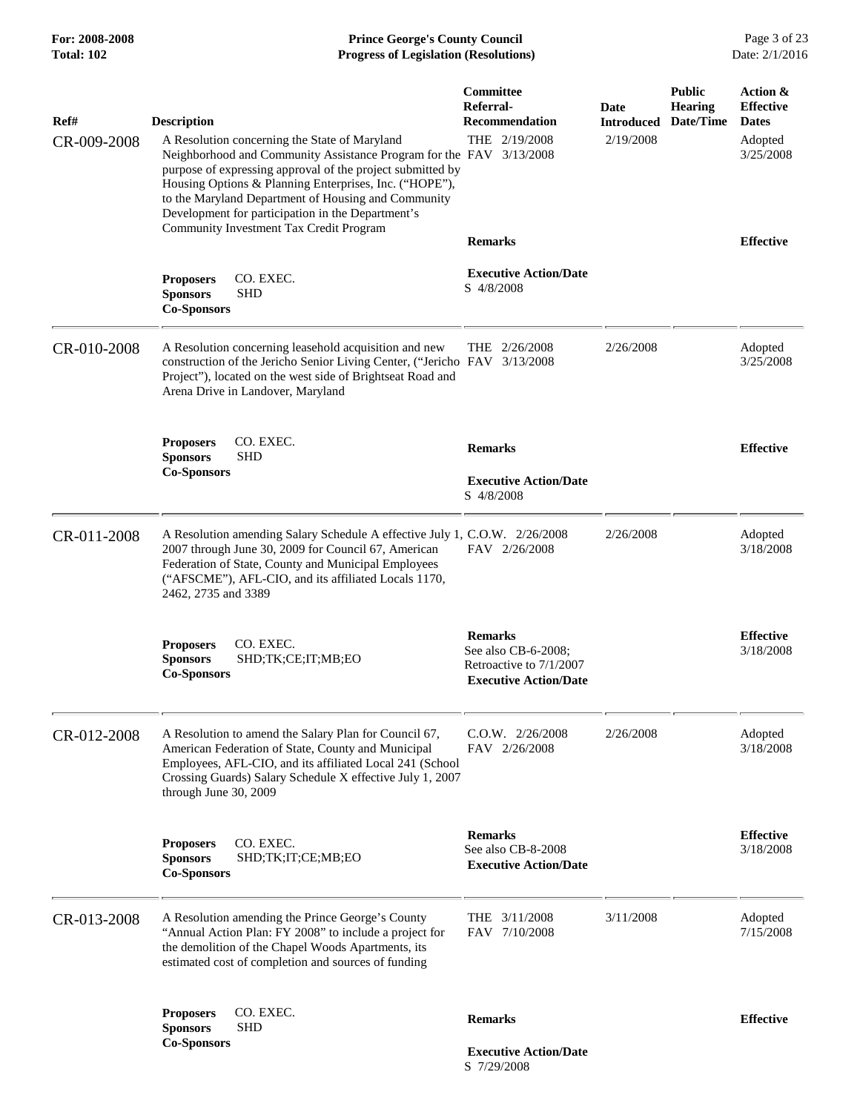# **For: 2008-2008 Prince George's County Council** Page 3 of 23<br>**Progress of Legislation (Resolutions)** Date: 2/1/2016 **Total: 102 Progress of Legislation (Resolutions)**

| Ref#<br>CR-009-2008 | <b>Description</b><br>A Resolution concerning the State of Maryland<br>Neighborhood and Community Assistance Program for the FAV 3/13/2008<br>purpose of expressing approval of the project submitted by<br>Housing Options & Planning Enterprises, Inc. ("HOPE"),<br>to the Maryland Department of Housing and Community<br>Development for participation in the Department's | Committee<br>Referral-<br>Recommendation<br>THE 2/19/2008                                        | Date<br><b>Introduced</b><br>2/19/2008 | <b>Public</b><br><b>Hearing</b><br>Date/Time | Action &<br><b>Effective</b><br><b>Dates</b><br>Adopted<br>3/25/2008 |
|---------------------|--------------------------------------------------------------------------------------------------------------------------------------------------------------------------------------------------------------------------------------------------------------------------------------------------------------------------------------------------------------------------------|--------------------------------------------------------------------------------------------------|----------------------------------------|----------------------------------------------|----------------------------------------------------------------------|
|                     | <b>Community Investment Tax Credit Program</b><br><b>Proposers</b><br>CO. EXEC.                                                                                                                                                                                                                                                                                                | <b>Remarks</b><br><b>Executive Action/Date</b><br>S 4/8/2008                                     |                                        |                                              | <b>Effective</b>                                                     |
|                     | <b>SHD</b><br><b>Sponsors</b><br><b>Co-Sponsors</b>                                                                                                                                                                                                                                                                                                                            |                                                                                                  |                                        |                                              |                                                                      |
| CR-010-2008         | A Resolution concerning leasehold acquisition and new<br>construction of the Jericho Senior Living Center, ("Jericho FAV 3/13/2008<br>Project"), located on the west side of Brightseat Road and<br>Arena Drive in Landover, Maryland                                                                                                                                          | THE $2/26/2008$                                                                                  | 2/26/2008                              |                                              | Adopted<br>3/25/2008                                                 |
|                     | CO. EXEC.<br><b>Proposers</b><br><b>Sponsors</b><br><b>SHD</b>                                                                                                                                                                                                                                                                                                                 | <b>Remarks</b>                                                                                   |                                        |                                              | <b>Effective</b>                                                     |
|                     | <b>Co-Sponsors</b>                                                                                                                                                                                                                                                                                                                                                             | <b>Executive Action/Date</b><br>S 4/8/2008                                                       |                                        |                                              |                                                                      |
| CR-011-2008         | A Resolution amending Salary Schedule A effective July 1, C.O.W. 2/26/2008<br>2007 through June 30, 2009 for Council 67, American<br>Federation of State, County and Municipal Employees<br>("AFSCME"), AFL-CIO, and its affiliated Locals 1170,<br>2462, 2735 and 3389                                                                                                        | FAV 2/26/2008                                                                                    | 2/26/2008                              |                                              | Adopted<br>3/18/2008                                                 |
|                     | CO. EXEC.<br><b>Proposers</b><br><b>Sponsors</b><br>SHD;TK;CE;IT;MB;EO<br><b>Co-Sponsors</b>                                                                                                                                                                                                                                                                                   | <b>Remarks</b><br>See also CB-6-2008;<br>Retroactive to 7/1/2007<br><b>Executive Action/Date</b> |                                        |                                              | <b>Effective</b><br>3/18/2008                                        |
| CR-012-2008         | A Resolution to amend the Salary Plan for Council 67,<br>American Federation of State, County and Municipal<br>Employees, AFL-CIO, and its affiliated Local 241 (School<br>Crossing Guards) Salary Schedule X effective July 1, 2007<br>through June 30, 2009                                                                                                                  | $C.0.W.$ $2/26/2008$<br>FAV 2/26/2008                                                            | 2/26/2008                              |                                              | Adopted<br>3/18/2008                                                 |
|                     | CO. EXEC.<br><b>Proposers</b><br><b>Sponsors</b><br>SHD;TK;IT;CE;MB;EO<br><b>Co-Sponsors</b>                                                                                                                                                                                                                                                                                   | <b>Remarks</b><br>See also CB-8-2008<br><b>Executive Action/Date</b>                             |                                        |                                              | <b>Effective</b><br>3/18/2008                                        |
| CR-013-2008         | A Resolution amending the Prince George's County<br>"Annual Action Plan: FY 2008" to include a project for<br>the demolition of the Chapel Woods Apartments, its<br>estimated cost of completion and sources of funding                                                                                                                                                        | THE 3/11/2008<br>FAV 7/10/2008                                                                   | 3/11/2008                              |                                              | Adopted<br>7/15/2008                                                 |
|                     | <b>Proposers</b><br>CO. EXEC.<br><b>SHD</b><br><b>Sponsors</b>                                                                                                                                                                                                                                                                                                                 | <b>Remarks</b>                                                                                   |                                        |                                              | <b>Effective</b>                                                     |
|                     | <b>Co-Sponsors</b>                                                                                                                                                                                                                                                                                                                                                             | <b>Executive Action/Date</b><br>S 7/29/2008                                                      |                                        |                                              |                                                                      |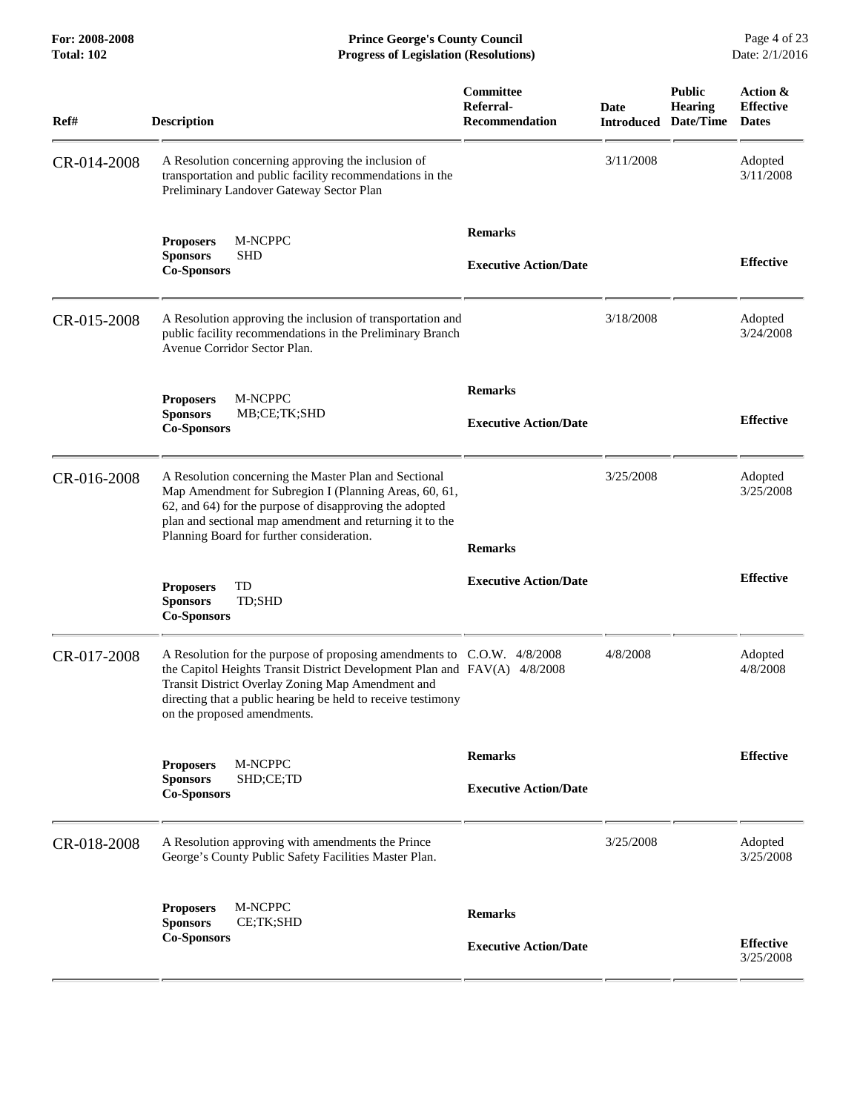**For: 2008-2008 Prince George's County Council** Page 4 of 23<br>**Progress of Legislation (Resolutions)** Date: 2/1/2016 **Total: 102 Progress of Legislation (Resolutions)** 

| Ref#        | <b>Description</b>                                                                                                                                                                                                                                                                                       | Committee<br>Referral-<br><b>Recommendation</b> | Date<br><b>Introduced</b> | <b>Public</b><br><b>Hearing</b><br>Date/Time | Action &<br><b>Effective</b><br><b>Dates</b> |
|-------------|----------------------------------------------------------------------------------------------------------------------------------------------------------------------------------------------------------------------------------------------------------------------------------------------------------|-------------------------------------------------|---------------------------|----------------------------------------------|----------------------------------------------|
| CR-014-2008 | A Resolution concerning approving the inclusion of<br>transportation and public facility recommendations in the<br>Preliminary Landover Gateway Sector Plan                                                                                                                                              |                                                 | 3/11/2008                 |                                              | Adopted<br>3/11/2008                         |
|             | <b>Proposers</b><br>M-NCPPC<br><b>Sponsors</b><br><b>SHD</b><br><b>Co-Sponsors</b>                                                                                                                                                                                                                       | <b>Remarks</b><br><b>Executive Action/Date</b>  |                           |                                              | <b>Effective</b>                             |
| CR-015-2008 | A Resolution approving the inclusion of transportation and<br>public facility recommendations in the Preliminary Branch<br>Avenue Corridor Sector Plan.                                                                                                                                                  |                                                 | 3/18/2008                 |                                              | Adopted<br>3/24/2008                         |
|             | M-NCPPC<br><b>Proposers</b><br><b>Sponsors</b><br>MB;CE;TK;SHD<br><b>Co-Sponsors</b>                                                                                                                                                                                                                     | <b>Remarks</b><br><b>Executive Action/Date</b>  |                           |                                              | <b>Effective</b>                             |
| CR-016-2008 | A Resolution concerning the Master Plan and Sectional<br>Map Amendment for Subregion I (Planning Areas, 60, 61,<br>62, and 64) for the purpose of disapproving the adopted<br>plan and sectional map amendment and returning it to the<br>Planning Board for further consideration.                      | <b>Remarks</b>                                  | 3/25/2008                 |                                              | Adopted<br>3/25/2008                         |
|             | <b>Proposers</b><br>TD<br><b>Sponsors</b><br>TD;SHD<br><b>Co-Sponsors</b>                                                                                                                                                                                                                                | <b>Executive Action/Date</b>                    |                           |                                              | <b>Effective</b>                             |
| CR-017-2008 | A Resolution for the purpose of proposing amendments to C.O.W. 4/8/2008<br>the Capitol Heights Transit District Development Plan and FAV(A) 4/8/2008<br>Transit District Overlay Zoning Map Amendment and<br>directing that a public hearing be held to receive testimony<br>on the proposed amendments. |                                                 | 4/8/2008                  |                                              | Adopted<br>4/8/2008                          |
|             | M-NCPPC<br><b>Proposers</b><br>SHD;CE;TD<br><b>Sponsors</b><br><b>Co-Sponsors</b>                                                                                                                                                                                                                        | <b>Remarks</b><br><b>Executive Action/Date</b>  |                           |                                              | <b>Effective</b>                             |
| CR-018-2008 | A Resolution approving with amendments the Prince<br>George's County Public Safety Facilities Master Plan.                                                                                                                                                                                               |                                                 | 3/25/2008                 |                                              | Adopted<br>3/25/2008                         |
|             | M-NCPPC<br><b>Proposers</b><br>CE;TK;SHD<br><b>Sponsors</b><br><b>Co-Sponsors</b>                                                                                                                                                                                                                        | <b>Remarks</b><br><b>Executive Action/Date</b>  |                           |                                              | <b>Effective</b><br>3/25/2008                |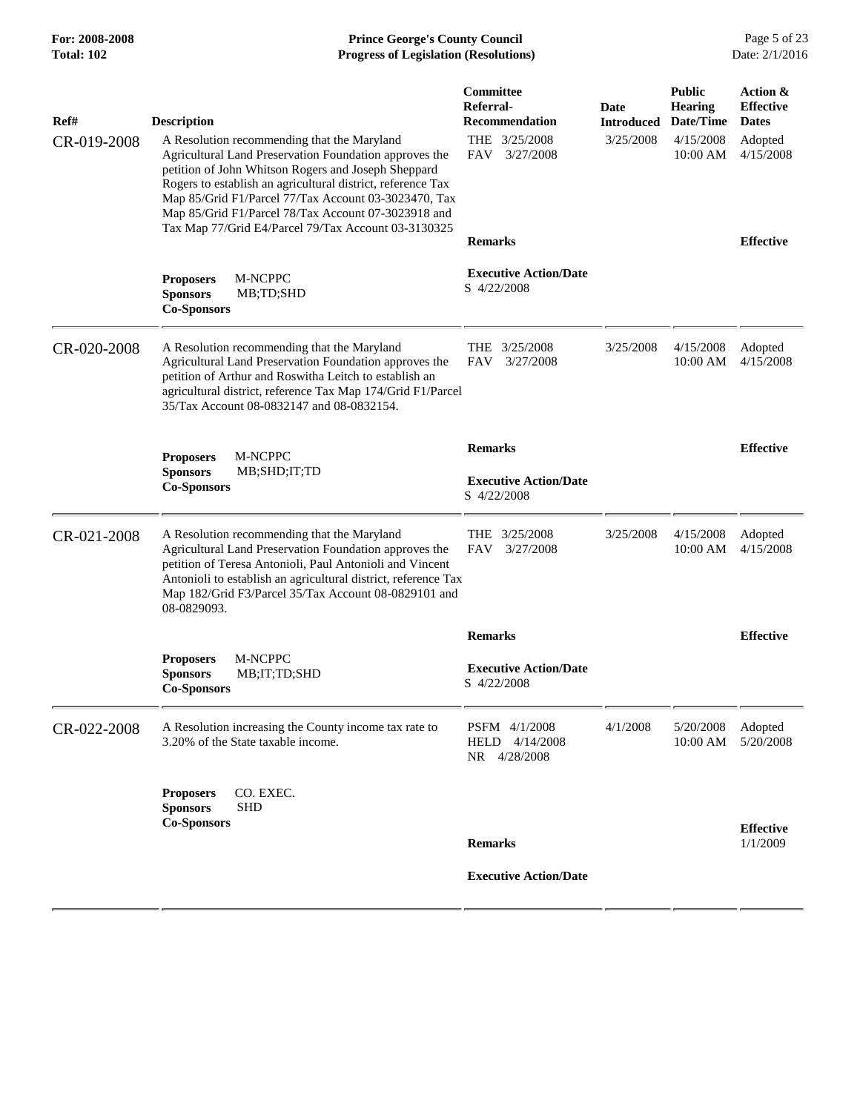# **For: 2008-2008 Prince George's County Council** Page 5 of 23<br>**Progress of Legislation (Resolutions)** Date: 2/1/2016 **Total: 102 Progress of Legislation (Resolutions)**

| Ref#        | <b>Description</b>                                                                                                                                                                                                                                                                                                                         | Committee<br>Referral-<br><b>Recommendation</b> | Date<br><b>Introduced</b> | <b>Public</b><br><b>Hearing</b><br>Date/Time | Action &<br><b>Effective</b><br><b>Dates</b> |
|-------------|--------------------------------------------------------------------------------------------------------------------------------------------------------------------------------------------------------------------------------------------------------------------------------------------------------------------------------------------|-------------------------------------------------|---------------------------|----------------------------------------------|----------------------------------------------|
| CR-019-2008 | A Resolution recommending that the Maryland<br>Agricultural Land Preservation Foundation approves the<br>petition of John Whitson Rogers and Joseph Sheppard<br>Rogers to establish an agricultural district, reference Tax<br>Map 85/Grid F1/Parcel 77/Tax Account 03-3023470, Tax<br>Map 85/Grid F1/Parcel 78/Tax Account 07-3023918 and | THE 3/25/2008<br>3/27/2008<br><b>FAV</b>        | 3/25/2008                 | 4/15/2008<br>10:00 AM                        | Adopted<br>4/15/2008                         |
|             | Tax Map 77/Grid E4/Parcel 79/Tax Account 03-3130325                                                                                                                                                                                                                                                                                        | <b>Remarks</b>                                  |                           |                                              | <b>Effective</b>                             |
|             | M-NCPPC<br><b>Proposers</b><br><b>Sponsors</b><br>MB;TD;SHD<br><b>Co-Sponsors</b>                                                                                                                                                                                                                                                          | <b>Executive Action/Date</b><br>S 4/22/2008     |                           |                                              |                                              |
| CR-020-2008 | A Resolution recommending that the Maryland<br>Agricultural Land Preservation Foundation approves the<br>petition of Arthur and Roswitha Leitch to establish an<br>agricultural district, reference Tax Map 174/Grid F1/Parcel<br>35/Tax Account 08-0832147 and 08-0832154.                                                                | THE $3/25/2008$<br>3/27/2008<br>FAV             | 3/25/2008                 | 4/15/2008<br>10:00 AM                        | Adopted<br>4/15/2008                         |
|             |                                                                                                                                                                                                                                                                                                                                            | <b>Remarks</b>                                  |                           |                                              | <b>Effective</b>                             |
|             | M-NCPPC<br><b>Proposers</b><br><b>Sponsors</b><br>MB;SHD;IT;TD<br><b>Co-Sponsors</b>                                                                                                                                                                                                                                                       | <b>Executive Action/Date</b><br>S 4/22/2008     |                           |                                              |                                              |
| CR-021-2008 | A Resolution recommending that the Maryland<br>Agricultural Land Preservation Foundation approves the<br>petition of Teresa Antonioli, Paul Antonioli and Vincent<br>Antonioli to establish an agricultural district, reference Tax<br>Map 182/Grid F3/Parcel 35/Tax Account 08-0829101 and<br>08-0829093.                                 | THE 3/25/2008<br>3/27/2008<br><b>FAV</b>        | 3/25/2008                 | 4/15/2008<br>10:00 AM                        | Adopted<br>4/15/2008                         |
|             |                                                                                                                                                                                                                                                                                                                                            | <b>Remarks</b>                                  |                           |                                              | <b>Effective</b>                             |
|             | M-NCPPC<br><b>Proposers</b><br><b>Sponsors</b><br>MB;IT;TD;SHD<br><b>Co-Sponsors</b>                                                                                                                                                                                                                                                       | <b>Executive Action/Date</b><br>S 4/22/2008     |                           |                                              |                                              |
| CR-022-2008 | A Resolution increasing the County income tax rate to<br>3.20% of the State taxable income.                                                                                                                                                                                                                                                | PSFM 4/1/2008<br>HELD 4/14/2008<br>NR 4/28/2008 | 4/1/2008                  | 5/20/2008<br>10:00 AM                        | Adopted<br>5/20/2008                         |
|             | CO. EXEC.<br><b>Proposers</b><br><b>Sponsors</b><br>SHD<br><b>Co-Sponsors</b>                                                                                                                                                                                                                                                              |                                                 |                           |                                              | <b>Effective</b>                             |
|             |                                                                                                                                                                                                                                                                                                                                            | <b>Remarks</b>                                  |                           |                                              | 1/1/2009                                     |
|             |                                                                                                                                                                                                                                                                                                                                            | <b>Executive Action/Date</b>                    |                           |                                              |                                              |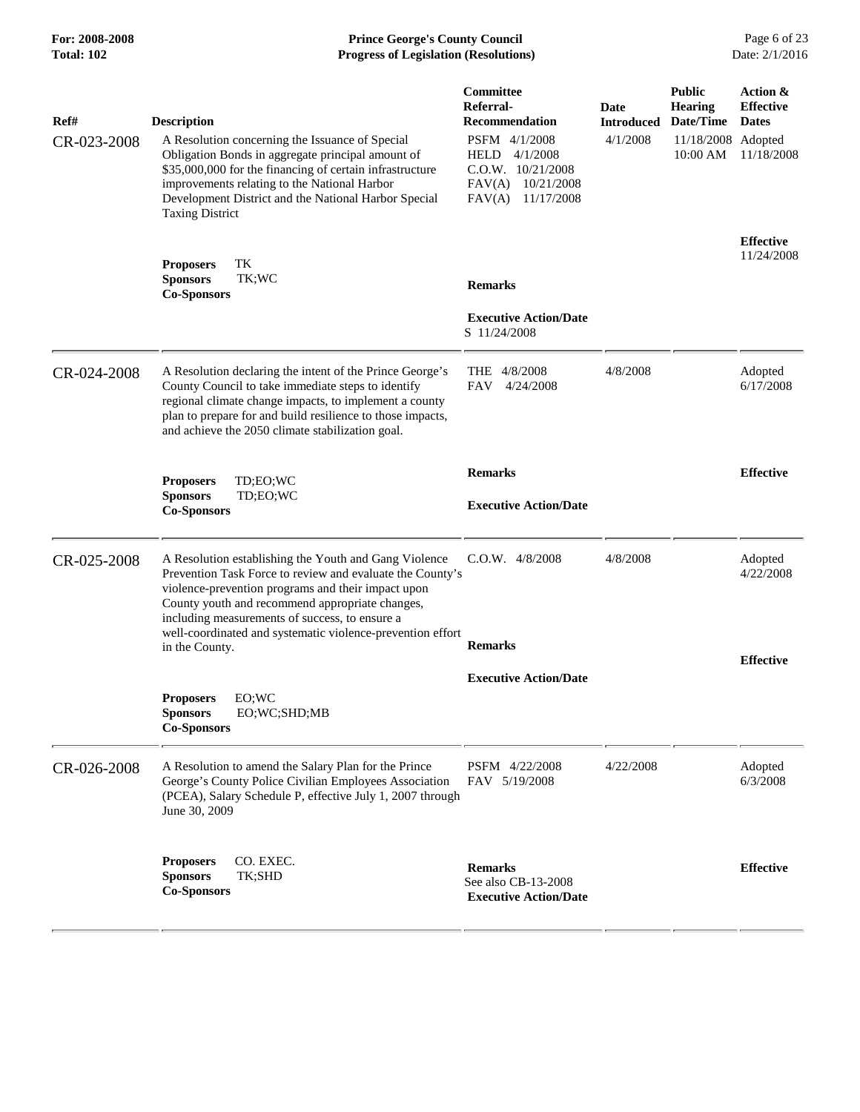# **For: 2008-2008 Prince George's County Council** Page 6 of 23<br>**Progress of Legislation (Resolutions)** Date: 2/1/2016 **Total: 102 Progress of Legislation (Resolutions)**

| Ref#<br>CR-023-2008 | <b>Description</b><br>A Resolution concerning the Issuance of Special                                                                                                                                                                                                                                                                       | Committee<br>Referral-<br><b>Recommendation</b><br>PSFM 4/1/2008                   | <b>Date</b><br><b>Introduced</b><br>4/1/2008 | <b>Public</b><br><b>Hearing</b><br>Date/Time<br>11/18/2008 Adopted | Action &<br><b>Effective</b><br><b>Dates</b> |
|---------------------|---------------------------------------------------------------------------------------------------------------------------------------------------------------------------------------------------------------------------------------------------------------------------------------------------------------------------------------------|------------------------------------------------------------------------------------|----------------------------------------------|--------------------------------------------------------------------|----------------------------------------------|
|                     | Obligation Bonds in aggregate principal amount of<br>\$35,000,000 for the financing of certain infrastructure<br>improvements relating to the National Harbor<br>Development District and the National Harbor Special<br><b>Taxing District</b>                                                                                             | HELD 4/1/2008<br>C.O.W. 10/21/2008<br>FAV(A)<br>10/21/2008<br>FAV(A)<br>11/17/2008 |                                              | 10:00 AM                                                           | 11/18/2008                                   |
|                     | TK<br><b>Proposers</b><br><b>Sponsors</b><br>TK;WC                                                                                                                                                                                                                                                                                          | <b>Remarks</b>                                                                     |                                              |                                                                    | <b>Effective</b><br>11/24/2008               |
|                     | <b>Co-Sponsors</b>                                                                                                                                                                                                                                                                                                                          |                                                                                    |                                              |                                                                    |                                              |
|                     |                                                                                                                                                                                                                                                                                                                                             | <b>Executive Action/Date</b><br>S 11/24/2008                                       |                                              |                                                                    |                                              |
| CR-024-2008         | A Resolution declaring the intent of the Prince George's<br>County Council to take immediate steps to identify<br>regional climate change impacts, to implement a county<br>plan to prepare for and build resilience to those impacts,<br>and achieve the 2050 climate stabilization goal.                                                  | 4/8/2008<br>THE.<br><b>FAV</b><br>4/24/2008                                        | 4/8/2008                                     |                                                                    | Adopted<br>6/17/2008                         |
|                     |                                                                                                                                                                                                                                                                                                                                             | <b>Remarks</b>                                                                     |                                              |                                                                    | <b>Effective</b>                             |
|                     | <b>Proposers</b><br>TD:EO:WC<br>TD;EO;WC<br><b>Sponsors</b><br><b>Co-Sponsors</b>                                                                                                                                                                                                                                                           | <b>Executive Action/Date</b>                                                       |                                              |                                                                    |                                              |
| CR-025-2008         | A Resolution establishing the Youth and Gang Violence<br>Prevention Task Force to review and evaluate the County's<br>violence-prevention programs and their impact upon<br>County youth and recommend appropriate changes,<br>including measurements of success, to ensure a<br>well-coordinated and systematic violence-prevention effort | $C.O.W.$ 4/8/2008                                                                  | 4/8/2008                                     |                                                                    | Adopted<br>4/22/2008                         |
|                     | in the County.                                                                                                                                                                                                                                                                                                                              | <b>Remarks</b>                                                                     |                                              |                                                                    | <b>Effective</b>                             |
|                     |                                                                                                                                                                                                                                                                                                                                             | <b>Executive Action/Date</b>                                                       |                                              |                                                                    |                                              |
|                     | EO;WC<br><b>Proposers</b><br>EO;WC;SHD;MB<br>Sponsors<br><b>Co-Sponsors</b>                                                                                                                                                                                                                                                                 |                                                                                    |                                              |                                                                    |                                              |
| CR-026-2008         | A Resolution to amend the Salary Plan for the Prince<br>George's County Police Civilian Employees Association<br>(PCEA), Salary Schedule P, effective July 1, 2007 through<br>June 30, 2009                                                                                                                                                 | PSFM 4/22/2008<br>FAV 5/19/2008                                                    | 4/22/2008                                    |                                                                    | Adopted<br>6/3/2008                          |
|                     | <b>Proposers</b><br>CO. EXEC.<br>TK;SHD<br><b>Sponsors</b><br><b>Co-Sponsors</b>                                                                                                                                                                                                                                                            | <b>Remarks</b><br>See also CB-13-2008<br><b>Executive Action/Date</b>              |                                              |                                                                    | <b>Effective</b>                             |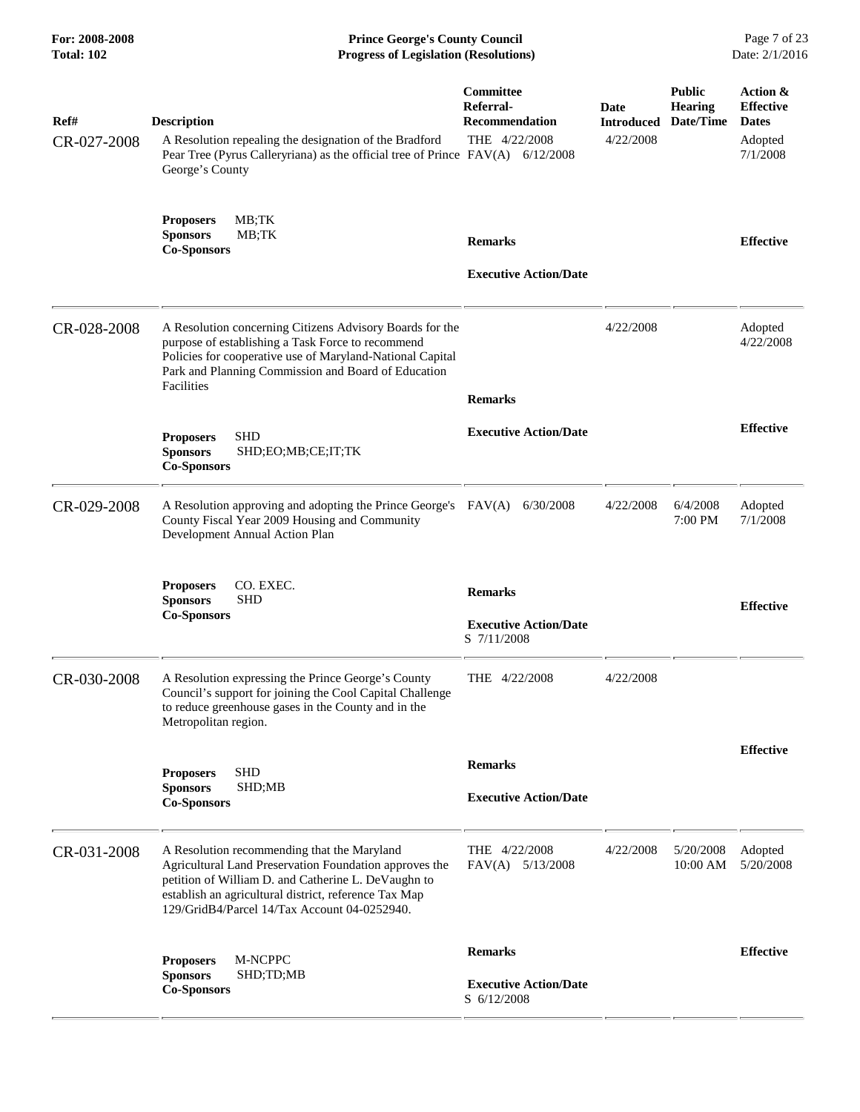| For: 2008-2008<br><b>Total: 102</b> | <b>Prince George's County Council</b><br>Date: 2/1/2016<br><b>Progress of Legislation (Resolutions)</b>                                                                                                                                                               |                                                                         |                                        |                                              |                                                                     |
|-------------------------------------|-----------------------------------------------------------------------------------------------------------------------------------------------------------------------------------------------------------------------------------------------------------------------|-------------------------------------------------------------------------|----------------------------------------|----------------------------------------------|---------------------------------------------------------------------|
| Ref#<br>CR-027-2008                 | <b>Description</b><br>A Resolution repealing the designation of the Bradford<br>Pear Tree (Pyrus Calleryriana) as the official tree of Prince FAV(A) 6/12/2008<br>George's County                                                                                     | <b>Committee</b><br>Referral-<br><b>Recommendation</b><br>THE 4/22/2008 | Date<br><b>Introduced</b><br>4/22/2008 | <b>Public</b><br><b>Hearing</b><br>Date/Time | Action &<br><b>Effective</b><br><b>Dates</b><br>Adopted<br>7/1/2008 |
|                                     | MB;TK<br><b>Proposers</b><br><b>Sponsors</b><br>MB;TK<br><b>Co-Sponsors</b>                                                                                                                                                                                           | <b>Remarks</b><br><b>Executive Action/Date</b>                          |                                        |                                              | <b>Effective</b>                                                    |
| CR-028-2008                         | A Resolution concerning Citizens Advisory Boards for the<br>purpose of establishing a Task Force to recommend<br>Policies for cooperative use of Maryland-National Capital<br>Park and Planning Commission and Board of Education<br>Facilities                       | <b>Remarks</b>                                                          | 4/22/2008                              |                                              | Adopted<br>4/22/2008                                                |
|                                     | <b>SHD</b><br><b>Proposers</b><br><b>Sponsors</b><br>SHD;EO;MB;CE;IT;TK<br><b>Co-Sponsors</b>                                                                                                                                                                         | <b>Executive Action/Date</b>                                            |                                        |                                              | <b>Effective</b>                                                    |
| CR-029-2008                         | A Resolution approving and adopting the Prince George's FAV(A)<br>County Fiscal Year 2009 Housing and Community<br>Development Annual Action Plan                                                                                                                     | 6/30/2008                                                               | 4/22/2008                              | 6/4/2008<br>7:00 PM                          | Adopted<br>7/1/2008                                                 |
|                                     | CO. EXEC.<br><b>Proposers</b><br><b>SHD</b><br><b>Sponsors</b><br><b>Co-Sponsors</b>                                                                                                                                                                                  | <b>Remarks</b><br><b>Executive Action/Date</b><br>S 7/11/2008           |                                        |                                              | <b>Effective</b>                                                    |
| CR-030-2008                         | A Resolution expressing the Prince George's County<br>Council's support for joining the Cool Capital Challenge<br>to reduce greenhouse gases in the County and in the<br>Metropolitan region.                                                                         | THE 4/22/2008                                                           | 4/22/2008                              |                                              |                                                                     |
|                                     | <b>SHD</b><br><b>Proposers</b><br><b>Sponsors</b><br>SHD;MB<br><b>Co-Sponsors</b>                                                                                                                                                                                     | <b>Remarks</b><br><b>Executive Action/Date</b>                          |                                        |                                              | <b>Effective</b>                                                    |
| CR-031-2008                         | A Resolution recommending that the Maryland<br>Agricultural Land Preservation Foundation approves the<br>petition of William D. and Catherine L. DeVaughn to<br>establish an agricultural district, reference Tax Map<br>129/GridB4/Parcel 14/Tax Account 04-0252940. | THE 4/22/2008<br>FAV(A) 5/13/2008                                       | 4/22/2008                              | 5/20/2008<br>10:00 AM                        | Adopted<br>5/20/2008                                                |
|                                     | M-NCPPC<br><b>Proposers</b><br><b>Sponsors</b><br>SHD;TD;MB<br><b>Co-Sponsors</b>                                                                                                                                                                                     | <b>Remarks</b><br><b>Executive Action/Date</b><br>S 6/12/2008           |                                        |                                              | <b>Effective</b>                                                    |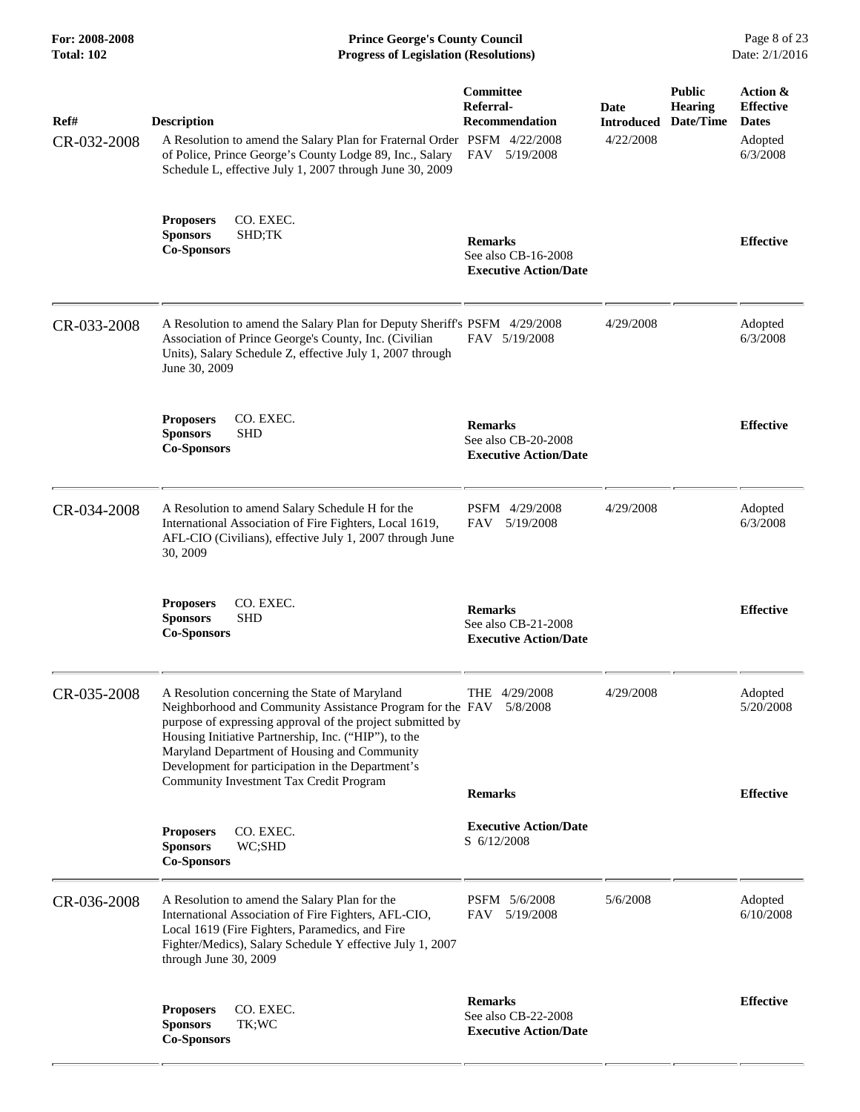**For: 2008-2008 Prince George's County Council** Page 8 of 23<br>**Progress of Legislation (Resolutions)** Date: 2/1/2016 **Total: 102 Progress of Legislation (Resolutions)** 

| Ref#<br>CR-032-2008 | <b>Description</b><br>A Resolution to amend the Salary Plan for Fraternal Order PSFM 4/22/2008<br>of Police, Prince George's County Lodge 89, Inc., Salary<br>Schedule L, effective July 1, 2007 through June 30, 2009                                                                                                                                                                    | Committee<br>Referral-<br><b>Recommendation</b><br>FAV 5/19/2008      | Date<br><b>Introduced</b><br>4/22/2008 | <b>Public</b><br><b>Hearing</b><br>Date/Time | Action &<br><b>Effective</b><br><b>Dates</b><br>Adopted<br>6/3/2008 |
|---------------------|-------------------------------------------------------------------------------------------------------------------------------------------------------------------------------------------------------------------------------------------------------------------------------------------------------------------------------------------------------------------------------------------|-----------------------------------------------------------------------|----------------------------------------|----------------------------------------------|---------------------------------------------------------------------|
|                     | CO. EXEC.<br><b>Proposers</b><br>SHD;TK<br><b>Sponsors</b><br><b>Co-Sponsors</b>                                                                                                                                                                                                                                                                                                          | <b>Remarks</b><br>See also CB-16-2008<br><b>Executive Action/Date</b> |                                        |                                              | <b>Effective</b>                                                    |
| CR-033-2008         | A Resolution to amend the Salary Plan for Deputy Sheriff's PSFM 4/29/2008<br>Association of Prince George's County, Inc. (Civilian<br>Units), Salary Schedule Z, effective July 1, 2007 through<br>June 30, 2009                                                                                                                                                                          | FAV 5/19/2008                                                         | 4/29/2008                              |                                              | Adopted<br>6/3/2008                                                 |
|                     | <b>Proposers</b><br>CO. EXEC.<br><b>SHD</b><br><b>Sponsors</b><br><b>Co-Sponsors</b>                                                                                                                                                                                                                                                                                                      | <b>Remarks</b><br>See also CB-20-2008<br><b>Executive Action/Date</b> |                                        |                                              | <b>Effective</b>                                                    |
| CR-034-2008         | A Resolution to amend Salary Schedule H for the<br>International Association of Fire Fighters, Local 1619,<br>AFL-CIO (Civilians), effective July 1, 2007 through June<br>30, 2009                                                                                                                                                                                                        | PSFM 4/29/2008<br>FAV 5/19/2008                                       | 4/29/2008                              |                                              | Adopted<br>6/3/2008                                                 |
|                     | CO. EXEC.<br><b>Proposers</b><br><b>Sponsors</b><br><b>SHD</b><br><b>Co-Sponsors</b>                                                                                                                                                                                                                                                                                                      | <b>Remarks</b><br>See also CB-21-2008<br><b>Executive Action/Date</b> |                                        |                                              | <b>Effective</b>                                                    |
| CR-035-2008         | A Resolution concerning the State of Maryland<br>Neighborhood and Community Assistance Program for the FAV 5/8/2008<br>purpose of expressing approval of the project submitted by<br>Housing Initiative Partnership, Inc. ("HIP"), to the<br>Maryland Department of Housing and Community<br>Development for participation in the Department's<br>Community Investment Tax Credit Program | THE 4/29/2008<br><b>Remarks</b>                                       | 4/29/2008                              |                                              | Adopted<br>5/20/2008<br><b>Effective</b>                            |
|                     | <b>Proposers</b><br>CO. EXEC.<br><b>Sponsors</b><br>WC;SHD<br><b>Co-Sponsors</b>                                                                                                                                                                                                                                                                                                          | <b>Executive Action/Date</b><br>S 6/12/2008                           |                                        |                                              |                                                                     |
| CR-036-2008         | A Resolution to amend the Salary Plan for the<br>International Association of Fire Fighters, AFL-CIO,<br>Local 1619 (Fire Fighters, Paramedics, and Fire<br>Fighter/Medics), Salary Schedule Y effective July 1, 2007<br>through June 30, 2009                                                                                                                                            | PSFM 5/6/2008<br>FAV 5/19/2008                                        | 5/6/2008                               |                                              | Adopted<br>6/10/2008                                                |
|                     | CO. EXEC.<br><b>Proposers</b><br><b>Sponsors</b><br>TK;WC<br><b>Co-Sponsors</b>                                                                                                                                                                                                                                                                                                           | <b>Remarks</b><br>See also CB-22-2008<br><b>Executive Action/Date</b> |                                        |                                              | <b>Effective</b>                                                    |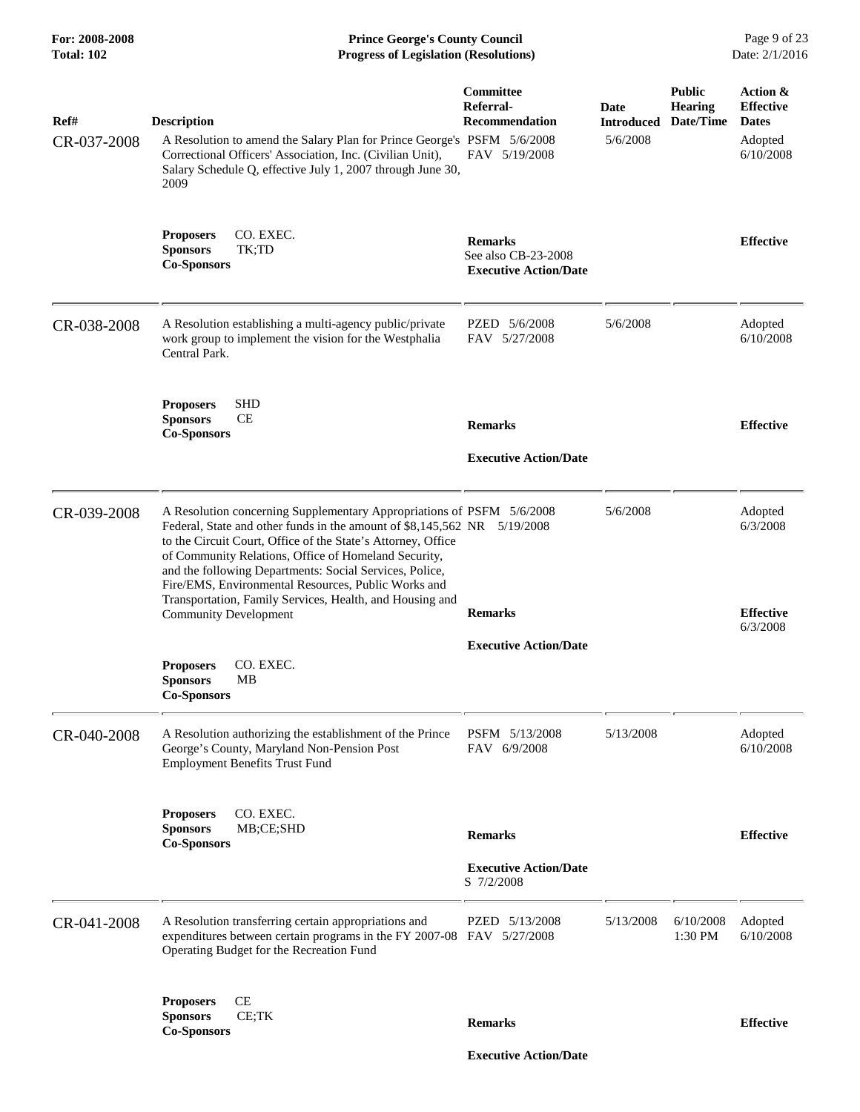**For: 2008-2008 Prince George's County Council** Page 9 of 23<br>**Progress of Legislation (Resolutions)** Date: 2/1/2016 **Total: 102 Progress of Legislation (Resolutions)** 

| Ref#<br>CR-037-2008 | <b>Description</b><br>A Resolution to amend the Salary Plan for Prince George's PSFM 5/6/2008<br>Correctional Officers' Association, Inc. (Civilian Unit),<br>Salary Schedule Q, effective July 1, 2007 through June 30,<br>2009                                                                                                                                                                                                                                                        | Committee<br>Referral-<br><b>Recommendation</b><br>FAV 5/19/2008      | Date<br><b>Introduced</b><br>5/6/2008 | <b>Public</b><br><b>Hearing</b><br>Date/Time | Action &<br><b>Effective</b><br><b>Dates</b><br>Adopted<br>6/10/2008 |
|---------------------|-----------------------------------------------------------------------------------------------------------------------------------------------------------------------------------------------------------------------------------------------------------------------------------------------------------------------------------------------------------------------------------------------------------------------------------------------------------------------------------------|-----------------------------------------------------------------------|---------------------------------------|----------------------------------------------|----------------------------------------------------------------------|
|                     | CO. EXEC.<br><b>Proposers</b><br><b>Sponsors</b><br>TK;TD<br><b>Co-Sponsors</b>                                                                                                                                                                                                                                                                                                                                                                                                         | <b>Remarks</b><br>See also CB-23-2008<br><b>Executive Action/Date</b> |                                       |                                              | <b>Effective</b>                                                     |
| CR-038-2008         | A Resolution establishing a multi-agency public/private<br>work group to implement the vision for the Westphalia<br>Central Park.                                                                                                                                                                                                                                                                                                                                                       | PZED 5/6/2008<br>FAV 5/27/2008                                        | 5/6/2008                              |                                              | Adopted<br>6/10/2008                                                 |
|                     | <b>SHD</b><br><b>Proposers</b><br><b>Sponsors</b><br><b>CE</b><br><b>Co-Sponsors</b>                                                                                                                                                                                                                                                                                                                                                                                                    | <b>Remarks</b><br><b>Executive Action/Date</b>                        |                                       |                                              | <b>Effective</b>                                                     |
| CR-039-2008         | A Resolution concerning Supplementary Appropriations of PSFM 5/6/2008<br>Federal, State and other funds in the amount of \$8,145,562 NR 5/19/2008<br>to the Circuit Court, Office of the State's Attorney, Office<br>of Community Relations, Office of Homeland Security,<br>and the following Departments: Social Services, Police,<br>Fire/EMS, Environmental Resources, Public Works and<br>Transportation, Family Services, Health, and Housing and<br><b>Community Development</b> | <b>Remarks</b>                                                        | 5/6/2008                              |                                              | Adopted<br>6/3/2008<br><b>Effective</b><br>6/3/2008                  |
|                     | CO. EXEC.<br><b>Proposers</b><br><b>Sponsors</b><br>MB<br><b>Co-Sponsors</b>                                                                                                                                                                                                                                                                                                                                                                                                            | <b>Executive Action/Date</b>                                          |                                       |                                              |                                                                      |
| CR-040-2008         | A Resolution authorizing the establishment of the Prince<br>George's County, Maryland Non-Pension Post<br><b>Employment Benefits Trust Fund</b>                                                                                                                                                                                                                                                                                                                                         | PSFM 5/13/2008<br>FAV 6/9/2008                                        | 5/13/2008                             |                                              | Adopted<br>6/10/2008                                                 |
|                     | CO. EXEC.<br><b>Proposers</b><br><b>Sponsors</b><br>MB;CE;SHD<br><b>Co-Sponsors</b>                                                                                                                                                                                                                                                                                                                                                                                                     | <b>Remarks</b><br><b>Executive Action/Date</b><br>S 7/2/2008          |                                       |                                              | <b>Effective</b>                                                     |
| CR-041-2008         | A Resolution transferring certain appropriations and<br>expenditures between certain programs in the FY 2007-08 FAV 5/27/2008<br>Operating Budget for the Recreation Fund                                                                                                                                                                                                                                                                                                               | PZED 5/13/2008                                                        | 5/13/2008                             | 6/10/2008<br>1:30 PM                         | Adopted<br>6/10/2008                                                 |
|                     | CE<br><b>Proposers</b><br><b>Sponsors</b><br>CE;TK<br><b>Co-Sponsors</b>                                                                                                                                                                                                                                                                                                                                                                                                                | <b>Remarks</b>                                                        |                                       |                                              | <b>Effective</b>                                                     |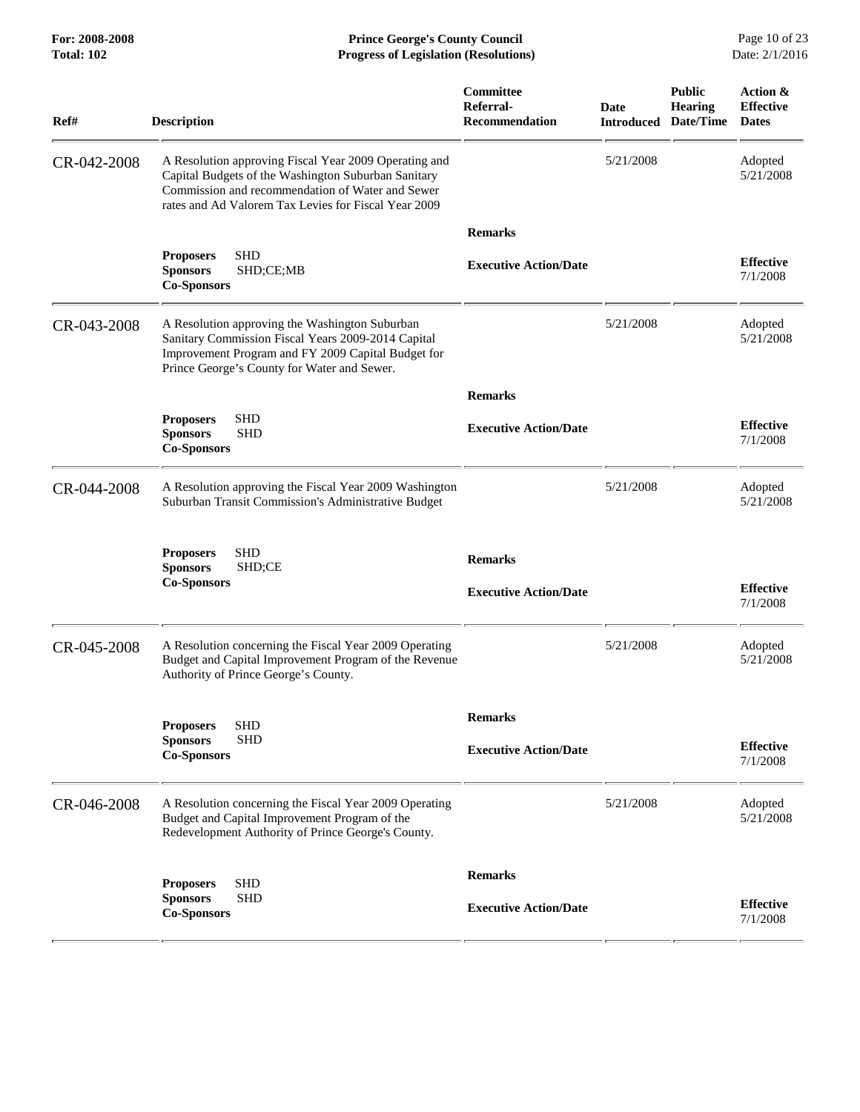**For: 2008-2008 Prince George's County Council** Page 10 of 23<br>**Progress of Legislation (Resolutions)** Date: 2/1/2016 **Total: 102 Progress of Legislation (Resolutions)** 

| Ref#        | <b>Description</b>                                                                                                                                                                                                       | <b>Committee</b><br>Referral-<br><b>Recommendation</b> | <b>Date</b><br><b>Introduced</b> | <b>Public</b><br><b>Hearing</b><br>Date/Time | Action &<br><b>Effective</b><br><b>Dates</b> |
|-------------|--------------------------------------------------------------------------------------------------------------------------------------------------------------------------------------------------------------------------|--------------------------------------------------------|----------------------------------|----------------------------------------------|----------------------------------------------|
| CR-042-2008 | A Resolution approving Fiscal Year 2009 Operating and<br>Capital Budgets of the Washington Suburban Sanitary<br>Commission and recommendation of Water and Sewer<br>rates and Ad Valorem Tax Levies for Fiscal Year 2009 |                                                        | 5/21/2008                        |                                              | Adopted<br>5/21/2008                         |
|             |                                                                                                                                                                                                                          | <b>Remarks</b>                                         |                                  |                                              |                                              |
|             | <b>SHD</b><br><b>Proposers</b><br><b>Sponsors</b><br>SHD;CE;MB<br><b>Co-Sponsors</b>                                                                                                                                     | <b>Executive Action/Date</b>                           |                                  |                                              | <b>Effective</b><br>7/1/2008                 |
| CR-043-2008 | A Resolution approving the Washington Suburban<br>Sanitary Commission Fiscal Years 2009-2014 Capital<br>Improvement Program and FY 2009 Capital Budget for<br>Prince George's County for Water and Sewer.                |                                                        | 5/21/2008                        |                                              | Adopted<br>5/21/2008                         |
|             |                                                                                                                                                                                                                          | <b>Remarks</b>                                         |                                  |                                              |                                              |
|             | <b>SHD</b><br><b>Proposers</b><br><b>Sponsors</b><br><b>SHD</b><br><b>Co-Sponsors</b>                                                                                                                                    | <b>Executive Action/Date</b>                           |                                  |                                              | <b>Effective</b><br>7/1/2008                 |
| CR-044-2008 | A Resolution approving the Fiscal Year 2009 Washington<br>Suburban Transit Commission's Administrative Budget                                                                                                            |                                                        | 5/21/2008                        |                                              | Adopted<br>5/21/2008                         |
|             | <b>Proposers</b><br><b>SHD</b><br>SHD;CE<br><b>Sponsors</b><br><b>Co-Sponsors</b>                                                                                                                                        | <b>Remarks</b>                                         |                                  |                                              |                                              |
|             |                                                                                                                                                                                                                          | <b>Executive Action/Date</b>                           |                                  |                                              | <b>Effective</b><br>7/1/2008                 |
| CR-045-2008 | A Resolution concerning the Fiscal Year 2009 Operating<br>Budget and Capital Improvement Program of the Revenue<br>Authority of Prince George's County.                                                                  |                                                        | 5/21/2008                        |                                              | Adopted<br>5/21/2008                         |
|             |                                                                                                                                                                                                                          | <b>Remarks</b>                                         |                                  |                                              |                                              |
|             | <b>Proposers</b><br><b>SHD</b><br><b>Sponsors</b><br><b>SHD</b>                                                                                                                                                          |                                                        |                                  |                                              |                                              |
|             | <b>Co-Sponsors</b>                                                                                                                                                                                                       | <b>Executive Action/Date</b>                           |                                  |                                              | <b>Effective</b><br>7/1/2008                 |
| CR-046-2008 | A Resolution concerning the Fiscal Year 2009 Operating<br>Budget and Capital Improvement Program of the<br>Redevelopment Authority of Prince George's County.                                                            |                                                        | 5/21/2008                        |                                              | Adopted<br>5/21/2008                         |
|             | <b>SHD</b><br><b>Proposers</b>                                                                                                                                                                                           | <b>Remarks</b>                                         |                                  |                                              |                                              |
|             | <b>Sponsors</b><br><b>SHD</b><br><b>Co-Sponsors</b>                                                                                                                                                                      | <b>Executive Action/Date</b>                           |                                  |                                              | <b>Effective</b><br>7/1/2008                 |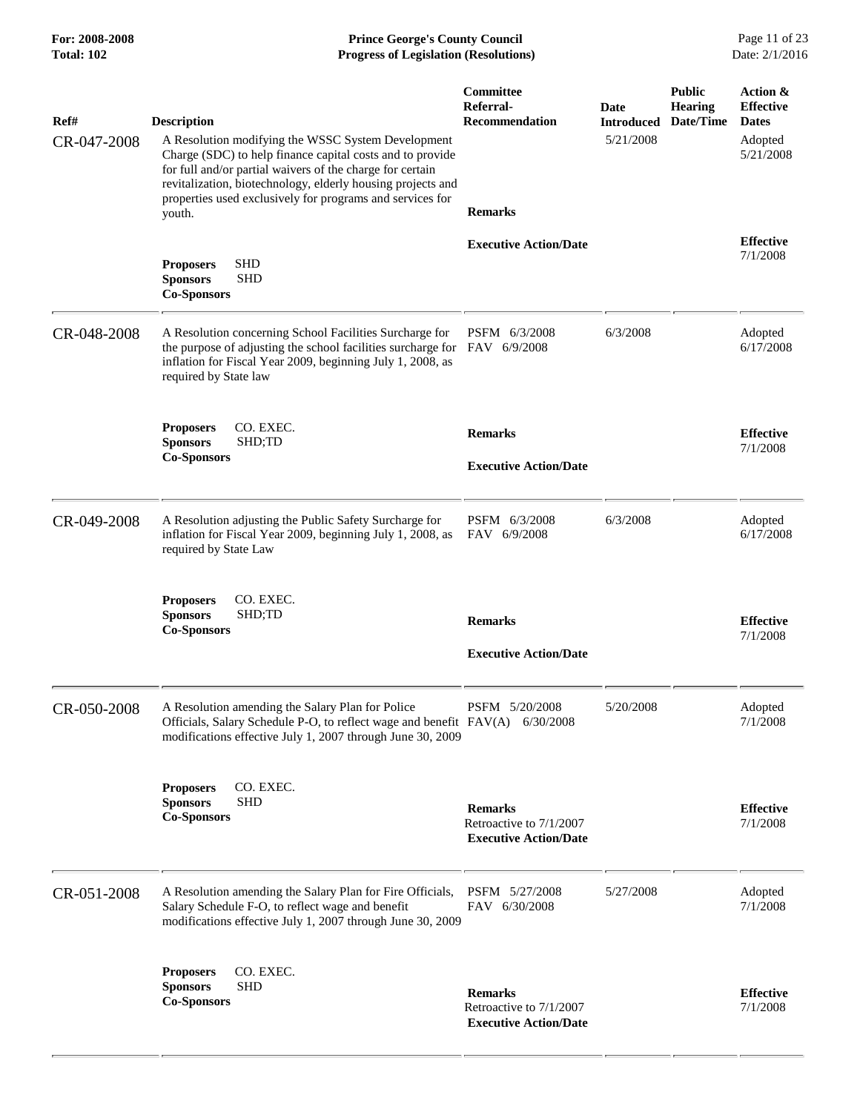| Ref#<br>CR-047-2008 | <b>Description</b><br>A Resolution modifying the WSSC System Development<br>Charge (SDC) to help finance capital costs and to provide<br>for full and/or partial waivers of the charge for certain<br>revitalization, biotechnology, elderly housing projects and<br>properties used exclusively for programs and services for | <b>Committee</b><br>Referral-<br><b>Recommendation</b>                    | Date<br><b>Introduced</b><br>5/21/2008 | <b>Public</b><br><b>Hearing</b><br>Date/Time | Action &<br><b>Effective</b><br><b>Dates</b><br>Adopted<br>5/21/2008 |
|---------------------|--------------------------------------------------------------------------------------------------------------------------------------------------------------------------------------------------------------------------------------------------------------------------------------------------------------------------------|---------------------------------------------------------------------------|----------------------------------------|----------------------------------------------|----------------------------------------------------------------------|
|                     | youth.<br><b>SHD</b><br><b>Proposers</b><br><b>SHD</b><br><b>Sponsors</b><br><b>Co-Sponsors</b>                                                                                                                                                                                                                                | <b>Remarks</b><br><b>Executive Action/Date</b>                            |                                        |                                              | <b>Effective</b><br>7/1/2008                                         |
| CR-048-2008         | A Resolution concerning School Facilities Surcharge for<br>the purpose of adjusting the school facilities surcharge for FAV 6/9/2008<br>inflation for Fiscal Year 2009, beginning July 1, 2008, as<br>required by State law                                                                                                    | PSFM 6/3/2008                                                             | 6/3/2008                               |                                              | Adopted<br>6/17/2008                                                 |
|                     | <b>Proposers</b><br>CO. EXEC.<br>SHD;TD<br><b>Sponsors</b><br><b>Co-Sponsors</b>                                                                                                                                                                                                                                               | <b>Remarks</b><br><b>Executive Action/Date</b>                            |                                        |                                              | <b>Effective</b><br>7/1/2008                                         |
| CR-049-2008         | A Resolution adjusting the Public Safety Surcharge for<br>inflation for Fiscal Year 2009, beginning July 1, 2008, as<br>required by State Law                                                                                                                                                                                  | PSFM 6/3/2008<br>FAV 6/9/2008                                             | 6/3/2008                               |                                              | Adopted<br>6/17/2008                                                 |
|                     | <b>Proposers</b><br>CO. EXEC.<br>SHD;TD<br><b>Sponsors</b><br><b>Co-Sponsors</b>                                                                                                                                                                                                                                               | <b>Remarks</b><br><b>Executive Action/Date</b>                            |                                        |                                              | <b>Effective</b><br>7/1/2008                                         |
| CR-050-2008         | A Resolution amending the Salary Plan for Police<br>Officials, Salary Schedule P-O, to reflect wage and benefit FAV(A) 6/30/2008<br>modifications effective July 1, 2007 through June 30, 2009                                                                                                                                 | PSFM 5/20/2008                                                            | 5/20/2008                              |                                              | Adopted<br>7/1/2008                                                  |
|                     | CO. EXEC.<br><b>Proposers</b><br><b>Sponsors</b><br><b>SHD</b><br><b>Co-Sponsors</b>                                                                                                                                                                                                                                           | <b>Remarks</b><br>Retroactive to 7/1/2007<br><b>Executive Action/Date</b> |                                        |                                              | <b>Effective</b><br>7/1/2008                                         |
| CR-051-2008         | A Resolution amending the Salary Plan for Fire Officials,<br>Salary Schedule F-O, to reflect wage and benefit<br>modifications effective July 1, 2007 through June 30, 2009                                                                                                                                                    | PSFM 5/27/2008<br>FAV 6/30/2008                                           | 5/27/2008                              |                                              | Adopted<br>7/1/2008                                                  |
|                     | CO. EXEC.<br><b>Proposers</b><br><b>SHD</b><br><b>Sponsors</b><br><b>Co-Sponsors</b>                                                                                                                                                                                                                                           | <b>Remarks</b><br>Retroactive to 7/1/2007<br><b>Executive Action/Date</b> |                                        |                                              | <b>Effective</b><br>7/1/2008                                         |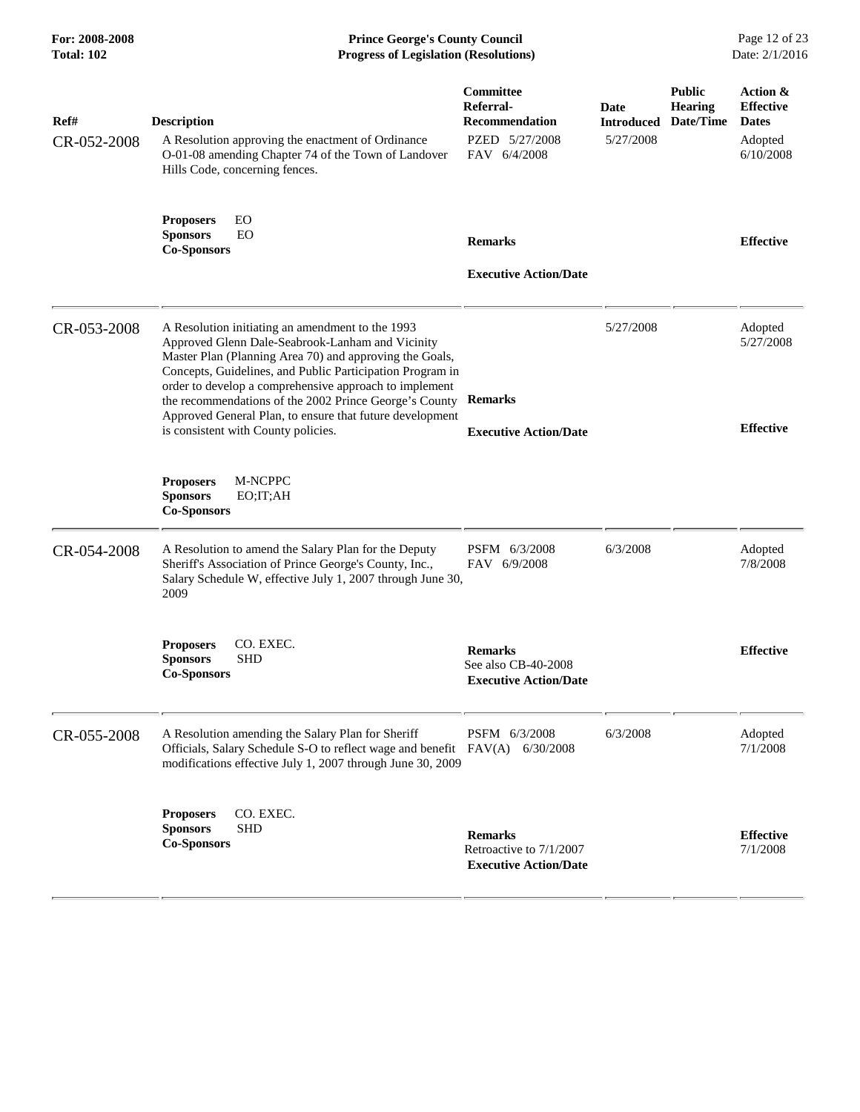**For: 2008-2008 Prince George's County Council** Page 12 of 23<br>**Progress of Legislation (Resolutions)** Date: 2/1/2016 **Total: 102 Progress of Legislation (Resolutions)** 

| Ref#<br>CR-052-2008 | <b>Description</b><br>A Resolution approving the enactment of Ordinance<br>O-01-08 amending Chapter 74 of the Town of Landover<br>Hills Code, concerning fences.                                                                                                                                                                                                                                                                                    | Committee<br>Referral-<br><b>Recommendation</b><br>PZED 5/27/2008<br>FAV 6/4/2008 | Date<br><b>Introduced</b><br>5/27/2008 | <b>Public</b><br><b>Hearing</b><br>Date/Time | Action &<br><b>Effective</b><br><b>Dates</b><br>Adopted<br>6/10/2008 |
|---------------------|-----------------------------------------------------------------------------------------------------------------------------------------------------------------------------------------------------------------------------------------------------------------------------------------------------------------------------------------------------------------------------------------------------------------------------------------------------|-----------------------------------------------------------------------------------|----------------------------------------|----------------------------------------------|----------------------------------------------------------------------|
|                     | EO<br><b>Proposers</b><br>EO<br><b>Sponsors</b><br><b>Co-Sponsors</b>                                                                                                                                                                                                                                                                                                                                                                               | <b>Remarks</b><br><b>Executive Action/Date</b>                                    |                                        |                                              | <b>Effective</b>                                                     |
| CR-053-2008         | A Resolution initiating an amendment to the 1993<br>Approved Glenn Dale-Seabrook-Lanham and Vicinity<br>Master Plan (Planning Area 70) and approving the Goals,<br>Concepts, Guidelines, and Public Participation Program in<br>order to develop a comprehensive approach to implement<br>the recommendations of the 2002 Prince George's County<br>Approved General Plan, to ensure that future development<br>is consistent with County policies. | <b>Remarks</b><br><b>Executive Action/Date</b>                                    | 5/27/2008                              |                                              | Adopted<br>5/27/2008<br><b>Effective</b>                             |
|                     | <b>Proposers</b><br>M-NCPPC<br><b>Sponsors</b><br>EO;IT;AH<br><b>Co-Sponsors</b>                                                                                                                                                                                                                                                                                                                                                                    |                                                                                   |                                        |                                              |                                                                      |
| CR-054-2008         | A Resolution to amend the Salary Plan for the Deputy<br>Sheriff's Association of Prince George's County, Inc.,<br>Salary Schedule W, effective July 1, 2007 through June 30,<br>2009                                                                                                                                                                                                                                                                | PSFM 6/3/2008<br>FAV 6/9/2008                                                     | 6/3/2008                               |                                              | Adopted<br>7/8/2008                                                  |
|                     | CO. EXEC.<br><b>Proposers</b><br><b>Sponsors</b><br><b>SHD</b><br><b>Co-Sponsors</b>                                                                                                                                                                                                                                                                                                                                                                | <b>Remarks</b><br>See also CB-40-2008<br><b>Executive Action/Date</b>             |                                        |                                              | <b>Effective</b>                                                     |
| CR-055-2008         | A Resolution amending the Salary Plan for Sheriff<br>Officials, Salary Schedule S-O to reflect wage and benefit FAV(A)<br>modifications effective July 1, 2007 through June 30, 2009                                                                                                                                                                                                                                                                | PSFM 6/3/2008<br>6/30/2008                                                        | 6/3/2008                               |                                              | Adopted<br>7/1/2008                                                  |
|                     | CO. EXEC.<br><b>Proposers</b><br><b>SHD</b><br><b>Sponsors</b><br><b>Co-Sponsors</b>                                                                                                                                                                                                                                                                                                                                                                | <b>Remarks</b><br>Retroactive to 7/1/2007<br><b>Executive Action/Date</b>         |                                        |                                              | <b>Effective</b><br>7/1/2008                                         |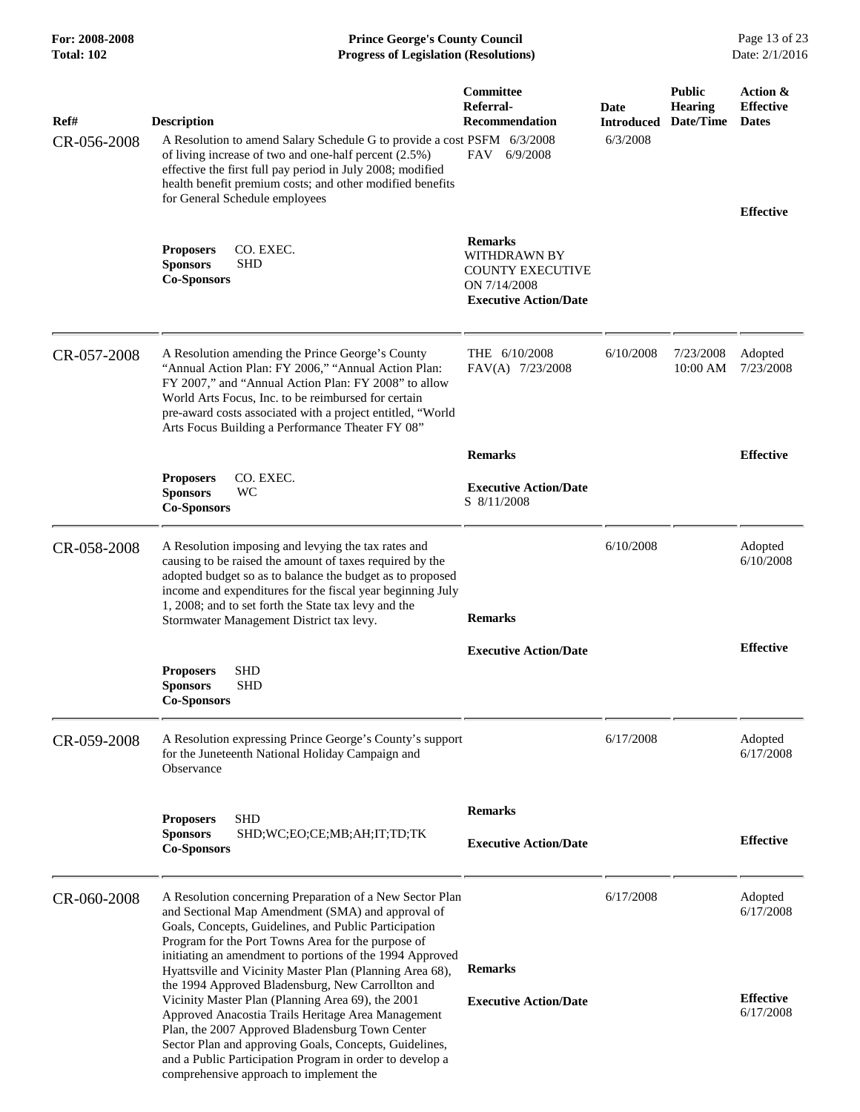**For: 2008-2008 Prince George's County Council** Page 13 of 23<br>**Progress of Legislation (Resolutions)** Date: 2/1/2016 **Total: 102 Progress of Legislation (Resolutions)** 

| Ref#<br>CR-056-2008 | <b>Description</b><br>A Resolution to amend Salary Schedule G to provide a cost PSFM 6/3/2008<br>of living increase of two and one-half percent (2.5%)<br>effective the first full pay period in July 2008; modified<br>health benefit premium costs; and other modified benefits<br>for General Schedule employees                                                                                                                                                                                                                                                                                                                                                                           | Committee<br>Referral-<br><b>Recommendation</b><br>FAV 6/9/2008                                                  | Date<br><b>Introduced</b><br>6/3/2008 | <b>Public</b><br><b>Hearing</b><br>Date/Time | Action &<br><b>Effective</b><br><b>Dates</b><br><b>Effective</b> |
|---------------------|-----------------------------------------------------------------------------------------------------------------------------------------------------------------------------------------------------------------------------------------------------------------------------------------------------------------------------------------------------------------------------------------------------------------------------------------------------------------------------------------------------------------------------------------------------------------------------------------------------------------------------------------------------------------------------------------------|------------------------------------------------------------------------------------------------------------------|---------------------------------------|----------------------------------------------|------------------------------------------------------------------|
|                     | CO. EXEC.<br><b>Proposers</b><br><b>Sponsors</b><br>SHD<br><b>Co-Sponsors</b>                                                                                                                                                                                                                                                                                                                                                                                                                                                                                                                                                                                                                 | <b>Remarks</b><br><b>WITHDRAWN BY</b><br><b>COUNTY EXECUTIVE</b><br>ON 7/14/2008<br><b>Executive Action/Date</b> |                                       |                                              |                                                                  |
| CR-057-2008         | A Resolution amending the Prince George's County<br>"Annual Action Plan: FY 2006," "Annual Action Plan:<br>FY 2007," and "Annual Action Plan: FY 2008" to allow<br>World Arts Focus, Inc. to be reimbursed for certain<br>pre-award costs associated with a project entitled, "World<br>Arts Focus Building a Performance Theater FY 08"                                                                                                                                                                                                                                                                                                                                                      | THE 6/10/2008<br>FAV(A) 7/23/2008                                                                                | 6/10/2008                             | 7/23/2008<br>10:00 AM                        | Adopted<br>7/23/2008                                             |
|                     |                                                                                                                                                                                                                                                                                                                                                                                                                                                                                                                                                                                                                                                                                               | <b>Remarks</b>                                                                                                   |                                       |                                              | <b>Effective</b>                                                 |
|                     | CO. EXEC.<br><b>Proposers</b><br><b>Sponsors</b><br><b>WC</b><br><b>Co-Sponsors</b>                                                                                                                                                                                                                                                                                                                                                                                                                                                                                                                                                                                                           | <b>Executive Action/Date</b><br>S 8/11/2008                                                                      |                                       |                                              |                                                                  |
| CR-058-2008         | A Resolution imposing and levying the tax rates and<br>causing to be raised the amount of taxes required by the<br>adopted budget so as to balance the budget as to proposed<br>income and expenditures for the fiscal year beginning July<br>1, 2008; and to set forth the State tax levy and the<br>Stormwater Management District tax levy.                                                                                                                                                                                                                                                                                                                                                | <b>Remarks</b>                                                                                                   | 6/10/2008                             |                                              | Adopted<br>6/10/2008                                             |
|                     | <b>SHD</b><br><b>Proposers</b><br><b>SHD</b><br><b>Sponsors</b><br><b>Co-Sponsors</b>                                                                                                                                                                                                                                                                                                                                                                                                                                                                                                                                                                                                         | <b>Executive Action/Date</b>                                                                                     |                                       |                                              | <b>Effective</b>                                                 |
| CR-059-2008         | A Resolution expressing Prince George's County's support<br>for the Juneteenth National Holiday Campaign and<br>Observance                                                                                                                                                                                                                                                                                                                                                                                                                                                                                                                                                                    |                                                                                                                  | 6/17/2008                             |                                              | Adopted<br>6/17/2008                                             |
|                     | <b>Proposers</b><br>SHD<br><b>Sponsors</b><br>SHD;WC;EO;CE;MB;AH;IT;TD;TK<br><b>Co-Sponsors</b>                                                                                                                                                                                                                                                                                                                                                                                                                                                                                                                                                                                               | <b>Remarks</b><br><b>Executive Action/Date</b>                                                                   |                                       |                                              | <b>Effective</b>                                                 |
| CR-060-2008         | A Resolution concerning Preparation of a New Sector Plan<br>and Sectional Map Amendment (SMA) and approval of<br>Goals, Concepts, Guidelines, and Public Participation<br>Program for the Port Towns Area for the purpose of<br>initiating an amendment to portions of the 1994 Approved<br>Hyattsville and Vicinity Master Plan (Planning Area 68),<br>the 1994 Approved Bladensburg, New Carrollton and<br>Vicinity Master Plan (Planning Area 69), the 2001<br>Approved Anacostia Trails Heritage Area Management<br>Plan, the 2007 Approved Bladensburg Town Center<br>Sector Plan and approving Goals, Concepts, Guidelines,<br>and a Public Participation Program in order to develop a | <b>Remarks</b><br><b>Executive Action/Date</b>                                                                   | 6/17/2008                             |                                              | Adopted<br>6/17/2008<br><b>Effective</b><br>6/17/2008            |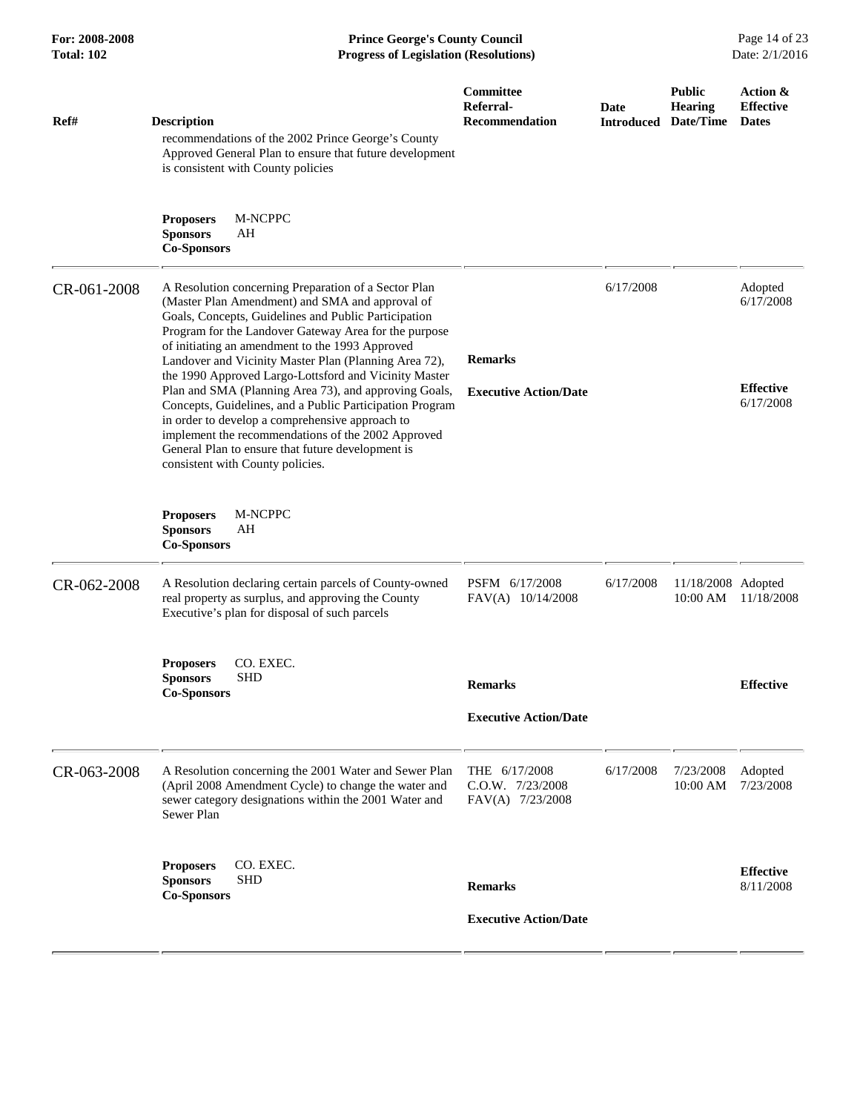| Ref#        | <b>Description</b><br>recommendations of the 2002 Prince George's County<br>Approved General Plan to ensure that future development<br>is consistent with County policies                                                                                                                                                                                                                                                                                                                                                                                                                                                                                                                                            | Committee<br>Referral-<br><b>Recommendation</b>           | Date<br><b>Introduced</b> | <b>Public</b><br><b>Hearing</b><br>Date/Time | Action &<br><b>Effective</b><br><b>Dates</b>          |
|-------------|----------------------------------------------------------------------------------------------------------------------------------------------------------------------------------------------------------------------------------------------------------------------------------------------------------------------------------------------------------------------------------------------------------------------------------------------------------------------------------------------------------------------------------------------------------------------------------------------------------------------------------------------------------------------------------------------------------------------|-----------------------------------------------------------|---------------------------|----------------------------------------------|-------------------------------------------------------|
|             | <b>M-NCPPC</b><br><b>Proposers</b><br><b>Sponsors</b><br>AH<br><b>Co-Sponsors</b>                                                                                                                                                                                                                                                                                                                                                                                                                                                                                                                                                                                                                                    |                                                           |                           |                                              |                                                       |
| CR-061-2008 | A Resolution concerning Preparation of a Sector Plan<br>(Master Plan Amendment) and SMA and approval of<br>Goals, Concepts, Guidelines and Public Participation<br>Program for the Landover Gateway Area for the purpose<br>of initiating an amendment to the 1993 Approved<br>Landover and Vicinity Master Plan (Planning Area 72),<br>the 1990 Approved Largo-Lottsford and Vicinity Master<br>Plan and SMA (Planning Area 73), and approving Goals,<br>Concepts, Guidelines, and a Public Participation Program<br>in order to develop a comprehensive approach to<br>implement the recommendations of the 2002 Approved<br>General Plan to ensure that future development is<br>consistent with County policies. | <b>Remarks</b><br><b>Executive Action/Date</b>            | 6/17/2008                 |                                              | Adopted<br>6/17/2008<br><b>Effective</b><br>6/17/2008 |
|             | M-NCPPC<br><b>Proposers</b><br><b>Sponsors</b><br>AH<br><b>Co-Sponsors</b>                                                                                                                                                                                                                                                                                                                                                                                                                                                                                                                                                                                                                                           |                                                           |                           |                                              |                                                       |
| CR-062-2008 | A Resolution declaring certain parcels of County-owned<br>real property as surplus, and approving the County<br>Executive's plan for disposal of such parcels                                                                                                                                                                                                                                                                                                                                                                                                                                                                                                                                                        | PSFM 6/17/2008<br>$FAV(A)$ 10/14/2008                     | 6/17/2008                 | 11/18/2008 Adopted<br>10:00 AM               | 11/18/2008                                            |
|             | CO. EXEC.<br><b>Proposers</b><br><b>SHD</b><br><b>Sponsors</b><br><b>Co-Sponsors</b>                                                                                                                                                                                                                                                                                                                                                                                                                                                                                                                                                                                                                                 | <b>Remarks</b><br><b>Executive Action/Date</b>            |                           |                                              | <b>Effective</b>                                      |
| CR-063-2008 | A Resolution concerning the 2001 Water and Sewer Plan<br>(April 2008 Amendment Cycle) to change the water and<br>sewer category designations within the 2001 Water and<br>Sewer Plan                                                                                                                                                                                                                                                                                                                                                                                                                                                                                                                                 | THE 6/17/2008<br>$C.0.W.$ $7/23/2008$<br>FAV(A) 7/23/2008 | 6/17/2008                 | 7/23/2008<br>10:00 AM                        | Adopted<br>7/23/2008                                  |
|             | CO. EXEC.<br><b>Proposers</b><br><b>SHD</b><br><b>Sponsors</b><br><b>Co-Sponsors</b>                                                                                                                                                                                                                                                                                                                                                                                                                                                                                                                                                                                                                                 | <b>Remarks</b><br><b>Executive Action/Date</b>            |                           |                                              | <b>Effective</b><br>8/11/2008                         |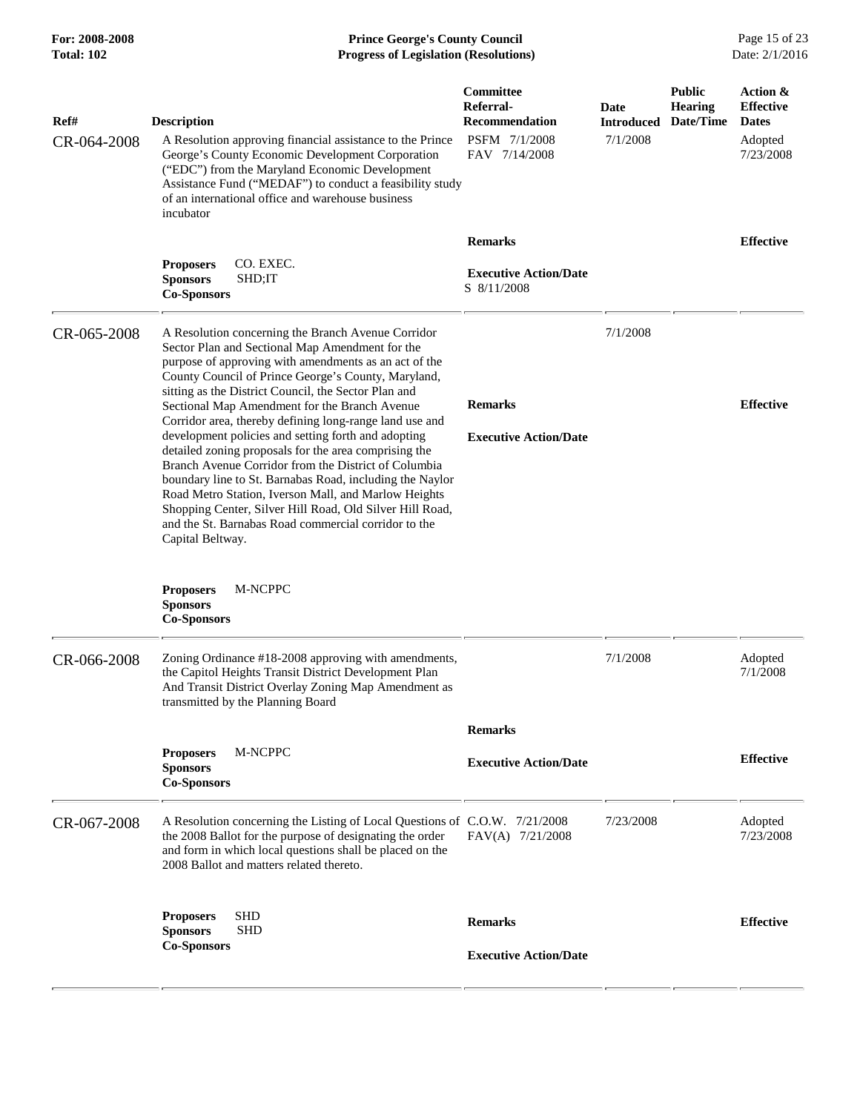#### **For: 2008-2008 Prince George's County Council** Page 15 of 23<br>**Progress of Legislation (Resolutions)** Date: 2/1/2016 **Total: 102 Progress of Legislation (Resolutions)**

| Ref#        | <b>Description</b>                                                                                                                                                                                                                                                                                                                                                                                                                                                                                                                                                                                                                                                                                                                                                                                                                                                                                    | Committee<br>Referral-<br><b>Recommendation</b> | Date<br><b>Introduced</b> | <b>Public</b><br><b>Hearing</b><br>Date/Time | Action &<br><b>Effective</b><br><b>Dates</b> |
|-------------|-------------------------------------------------------------------------------------------------------------------------------------------------------------------------------------------------------------------------------------------------------------------------------------------------------------------------------------------------------------------------------------------------------------------------------------------------------------------------------------------------------------------------------------------------------------------------------------------------------------------------------------------------------------------------------------------------------------------------------------------------------------------------------------------------------------------------------------------------------------------------------------------------------|-------------------------------------------------|---------------------------|----------------------------------------------|----------------------------------------------|
| CR-064-2008 | A Resolution approving financial assistance to the Prince<br>George's County Economic Development Corporation<br>("EDC") from the Maryland Economic Development<br>Assistance Fund ("MEDAF") to conduct a feasibility study<br>of an international office and warehouse business<br>incubator                                                                                                                                                                                                                                                                                                                                                                                                                                                                                                                                                                                                         | PSFM 7/1/2008<br>FAV 7/14/2008                  | 7/1/2008                  |                                              | Adopted<br>7/23/2008                         |
|             |                                                                                                                                                                                                                                                                                                                                                                                                                                                                                                                                                                                                                                                                                                                                                                                                                                                                                                       | <b>Remarks</b>                                  |                           |                                              | <b>Effective</b>                             |
|             | CO. EXEC.<br><b>Proposers</b><br><b>Sponsors</b><br>SHD;IT<br><b>Co-Sponsors</b>                                                                                                                                                                                                                                                                                                                                                                                                                                                                                                                                                                                                                                                                                                                                                                                                                      | <b>Executive Action/Date</b><br>S 8/11/2008     |                           |                                              |                                              |
| CR-065-2008 | A Resolution concerning the Branch Avenue Corridor<br>Sector Plan and Sectional Map Amendment for the<br>purpose of approving with amendments as an act of the<br>County Council of Prince George's County, Maryland,<br>sitting as the District Council, the Sector Plan and<br>Sectional Map Amendment for the Branch Avenue<br>Corridor area, thereby defining long-range land use and<br>development policies and setting forth and adopting<br>detailed zoning proposals for the area comprising the<br>Branch Avenue Corridor from the District of Columbia<br>boundary line to St. Barnabas Road, including the Naylor<br>Road Metro Station, Iverson Mall, and Marlow Heights<br>Shopping Center, Silver Hill Road, Old Silver Hill Road,<br>and the St. Barnabas Road commercial corridor to the<br>Capital Beltway.<br>M-NCPPC<br><b>Proposers</b><br><b>Sponsors</b><br><b>Co-Sponsors</b> | <b>Remarks</b><br><b>Executive Action/Date</b>  | 7/1/2008                  |                                              | <b>Effective</b>                             |
| CR-066-2008 | Zoning Ordinance #18-2008 approving with amendments,<br>the Capitol Heights Transit District Development Plan<br>And Transit District Overlay Zoning Map Amendment as<br>transmitted by the Planning Board                                                                                                                                                                                                                                                                                                                                                                                                                                                                                                                                                                                                                                                                                            |                                                 | 7/1/2008                  |                                              | Adopted<br>7/1/2008                          |
|             |                                                                                                                                                                                                                                                                                                                                                                                                                                                                                                                                                                                                                                                                                                                                                                                                                                                                                                       | <b>Remarks</b>                                  |                           |                                              |                                              |
|             | M-NCPPC<br><b>Proposers</b><br><b>Sponsors</b><br><b>Co-Sponsors</b>                                                                                                                                                                                                                                                                                                                                                                                                                                                                                                                                                                                                                                                                                                                                                                                                                                  | <b>Executive Action/Date</b>                    |                           |                                              | <b>Effective</b>                             |
| CR-067-2008 | A Resolution concerning the Listing of Local Questions of C.O.W. 7/21/2008<br>the 2008 Ballot for the purpose of designating the order<br>and form in which local questions shall be placed on the<br>2008 Ballot and matters related thereto.                                                                                                                                                                                                                                                                                                                                                                                                                                                                                                                                                                                                                                                        | FAV(A) 7/21/2008                                | 7/23/2008                 |                                              | Adopted<br>7/23/2008                         |
|             | <b>SHD</b><br><b>Proposers</b><br><b>SHD</b><br><b>Sponsors</b><br><b>Co-Sponsors</b>                                                                                                                                                                                                                                                                                                                                                                                                                                                                                                                                                                                                                                                                                                                                                                                                                 | <b>Remarks</b><br><b>Executive Action/Date</b>  |                           |                                              | <b>Effective</b>                             |
|             |                                                                                                                                                                                                                                                                                                                                                                                                                                                                                                                                                                                                                                                                                                                                                                                                                                                                                                       |                                                 |                           |                                              |                                              |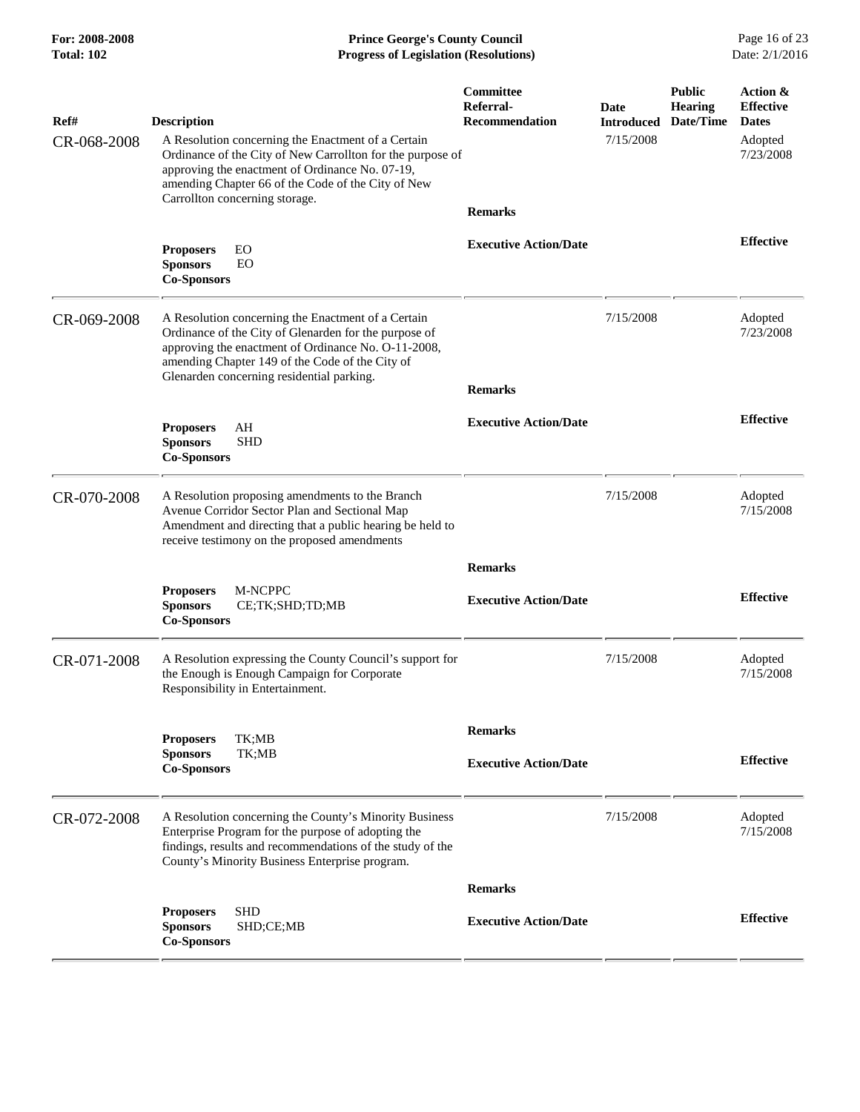**For: 2008-2008 Prince George's County Council** Page 16 of 23<br>**Progress of Legislation (Resolutions)** Date: 2/1/2016 **Total: 102 Progress of Legislation (Resolutions)** 

| Ref#<br>CR-068-2008 | <b>Description</b><br>A Resolution concerning the Enactment of a Certain<br>Ordinance of the City of New Carrollton for the purpose of<br>approving the enactment of Ordinance No. 07-19,<br>amending Chapter 66 of the Code of the City of New<br>Carrollton concerning storage. | Committee<br>Referral-<br><b>Recommendation</b><br><b>Remarks</b> | Date<br><b>Introduced</b><br>7/15/2008 | <b>Public</b><br><b>Hearing</b><br>Date/Time | Action &<br><b>Effective</b><br><b>Dates</b><br>Adopted<br>7/23/2008 |
|---------------------|-----------------------------------------------------------------------------------------------------------------------------------------------------------------------------------------------------------------------------------------------------------------------------------|-------------------------------------------------------------------|----------------------------------------|----------------------------------------------|----------------------------------------------------------------------|
|                     | <b>Proposers</b><br>EO<br><b>Sponsors</b><br>EO<br><b>Co-Sponsors</b>                                                                                                                                                                                                             | <b>Executive Action/Date</b>                                      |                                        |                                              | <b>Effective</b>                                                     |
| CR-069-2008         | A Resolution concerning the Enactment of a Certain<br>Ordinance of the City of Glenarden for the purpose of<br>approving the enactment of Ordinance No. O-11-2008,<br>amending Chapter 149 of the Code of the City of<br>Glenarden concerning residential parking.                | <b>Remarks</b>                                                    | 7/15/2008                              |                                              | Adopted<br>7/23/2008                                                 |
|                     | <b>Proposers</b><br>AH<br><b>SHD</b><br><b>Sponsors</b><br><b>Co-Sponsors</b>                                                                                                                                                                                                     | <b>Executive Action/Date</b>                                      |                                        |                                              | <b>Effective</b>                                                     |
| CR-070-2008         | A Resolution proposing amendments to the Branch<br>Avenue Corridor Sector Plan and Sectional Map<br>Amendment and directing that a public hearing be held to<br>receive testimony on the proposed amendments                                                                      |                                                                   | 7/15/2008                              |                                              | Adopted<br>7/15/2008                                                 |
|                     | M-NCPPC<br><b>Proposers</b><br><b>Sponsors</b><br>CE;TK;SHD;TD;MB<br><b>Co-Sponsors</b>                                                                                                                                                                                           | <b>Remarks</b><br><b>Executive Action/Date</b>                    |                                        |                                              | <b>Effective</b>                                                     |
| CR-071-2008         | A Resolution expressing the County Council's support for<br>the Enough is Enough Campaign for Corporate<br>Responsibility in Entertainment.                                                                                                                                       |                                                                   | 7/15/2008                              |                                              | Adopted<br>7/15/2008                                                 |
|                     | <b>Proposers</b><br>TK;MB<br><b>Sponsors</b><br>TK;MB<br><b>Co-Sponsors</b>                                                                                                                                                                                                       | <b>Remarks</b><br><b>Executive Action/Date</b>                    |                                        |                                              | <b>Effective</b>                                                     |
| CR-072-2008         | A Resolution concerning the County's Minority Business<br>Enterprise Program for the purpose of adopting the<br>findings, results and recommendations of the study of the<br>County's Minority Business Enterprise program.                                                       |                                                                   | 7/15/2008                              |                                              | Adopted<br>7/15/2008                                                 |
|                     |                                                                                                                                                                                                                                                                                   | <b>Remarks</b>                                                    |                                        |                                              |                                                                      |
|                     | <b>SHD</b><br><b>Proposers</b><br><b>Sponsors</b><br>SHD;CE;MB<br><b>Co-Sponsors</b>                                                                                                                                                                                              | <b>Executive Action/Date</b>                                      |                                        |                                              | <b>Effective</b>                                                     |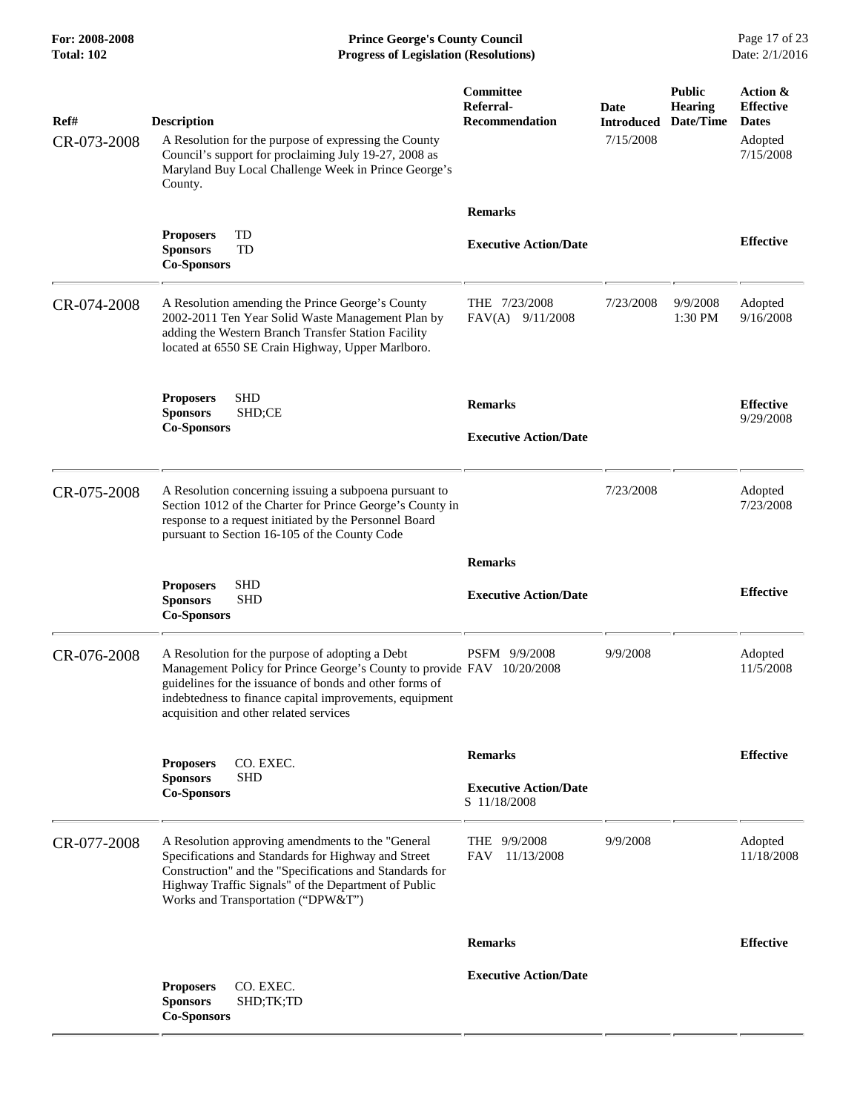**For: 2008-2008 Prince George's County Council** Page 17 of 23<br>**Progress of Legislation (Resolutions)** Date: 2/1/2016 **Total: 102 Progress of Legislation (Resolutions)** 

| Ref#<br>CR-073-2008 | <b>Description</b><br>A Resolution for the purpose of expressing the County<br>Council's support for proclaiming July 19-27, 2008 as<br>Maryland Buy Local Challenge Week in Prince George's<br>County.                                                                                   | Committee<br>Referral-<br><b>Recommendation</b> | Date<br><b>Introduced</b><br>7/15/2008 | <b>Public</b><br><b>Hearing</b><br>Date/Time | Action &<br><b>Effective</b><br><b>Dates</b><br>Adopted<br>7/15/2008 |
|---------------------|-------------------------------------------------------------------------------------------------------------------------------------------------------------------------------------------------------------------------------------------------------------------------------------------|-------------------------------------------------|----------------------------------------|----------------------------------------------|----------------------------------------------------------------------|
|                     | TD<br><b>Proposers</b>                                                                                                                                                                                                                                                                    | <b>Remarks</b>                                  |                                        |                                              |                                                                      |
|                     | <b>Sponsors</b><br>TD<br><b>Co-Sponsors</b>                                                                                                                                                                                                                                               | <b>Executive Action/Date</b>                    |                                        |                                              | <b>Effective</b>                                                     |
| CR-074-2008         | A Resolution amending the Prince George's County<br>2002-2011 Ten Year Solid Waste Management Plan by<br>adding the Western Branch Transfer Station Facility<br>located at 6550 SE Crain Highway, Upper Marlboro.                                                                         | THE 7/23/2008<br>FAV(A) 9/11/2008               | 7/23/2008                              | 9/9/2008<br>1:30 PM                          | Adopted<br>9/16/2008                                                 |
|                     | <b>Proposers</b><br>SHD<br>SHD;CE<br><b>Sponsors</b><br><b>Co-Sponsors</b>                                                                                                                                                                                                                | <b>Remarks</b>                                  |                                        |                                              | <b>Effective</b><br>9/29/2008                                        |
|                     |                                                                                                                                                                                                                                                                                           | <b>Executive Action/Date</b>                    |                                        |                                              |                                                                      |
| CR-075-2008         | A Resolution concerning issuing a subpoena pursuant to<br>Section 1012 of the Charter for Prince George's County in<br>response to a request initiated by the Personnel Board<br>pursuant to Section 16-105 of the County Code                                                            |                                                 | 7/23/2008                              |                                              | Adopted<br>7/23/2008                                                 |
|                     |                                                                                                                                                                                                                                                                                           | <b>Remarks</b>                                  |                                        |                                              |                                                                      |
|                     | <b>SHD</b><br><b>Proposers</b><br><b>Sponsors</b><br><b>SHD</b><br><b>Co-Sponsors</b>                                                                                                                                                                                                     | <b>Executive Action/Date</b>                    |                                        |                                              | <b>Effective</b>                                                     |
| CR-076-2008         | A Resolution for the purpose of adopting a Debt<br>Management Policy for Prince George's County to provide FAV 10/20/2008<br>guidelines for the issuance of bonds and other forms of<br>indebtedness to finance capital improvements, equipment<br>acquisition and other related services | PSFM 9/9/2008                                   | 9/9/2008                               |                                              | Adopted<br>11/5/2008                                                 |
|                     | CO. EXEC.<br><b>Proposers</b>                                                                                                                                                                                                                                                             | <b>Remarks</b>                                  |                                        |                                              | <b>Effective</b>                                                     |
|                     | <b>Sponsors</b><br><b>SHD</b><br><b>Co-Sponsors</b>                                                                                                                                                                                                                                       | <b>Executive Action/Date</b><br>S 11/18/2008    |                                        |                                              |                                                                      |
| CR-077-2008         | A Resolution approving amendments to the "General<br>Specifications and Standards for Highway and Street<br>Construction" and the "Specifications and Standards for<br>Highway Traffic Signals" of the Department of Public<br>Works and Transportation ("DPW&T")                         | THE $9/9/2008$<br>FAV<br>11/13/2008             | 9/9/2008                               |                                              | Adopted<br>11/18/2008                                                |
|                     |                                                                                                                                                                                                                                                                                           | <b>Remarks</b>                                  |                                        |                                              | <b>Effective</b>                                                     |
|                     | CO. EXEC.<br><b>Proposers</b><br>SHD;TK;TD<br><b>Sponsors</b><br><b>Co-Sponsors</b>                                                                                                                                                                                                       | <b>Executive Action/Date</b>                    |                                        |                                              |                                                                      |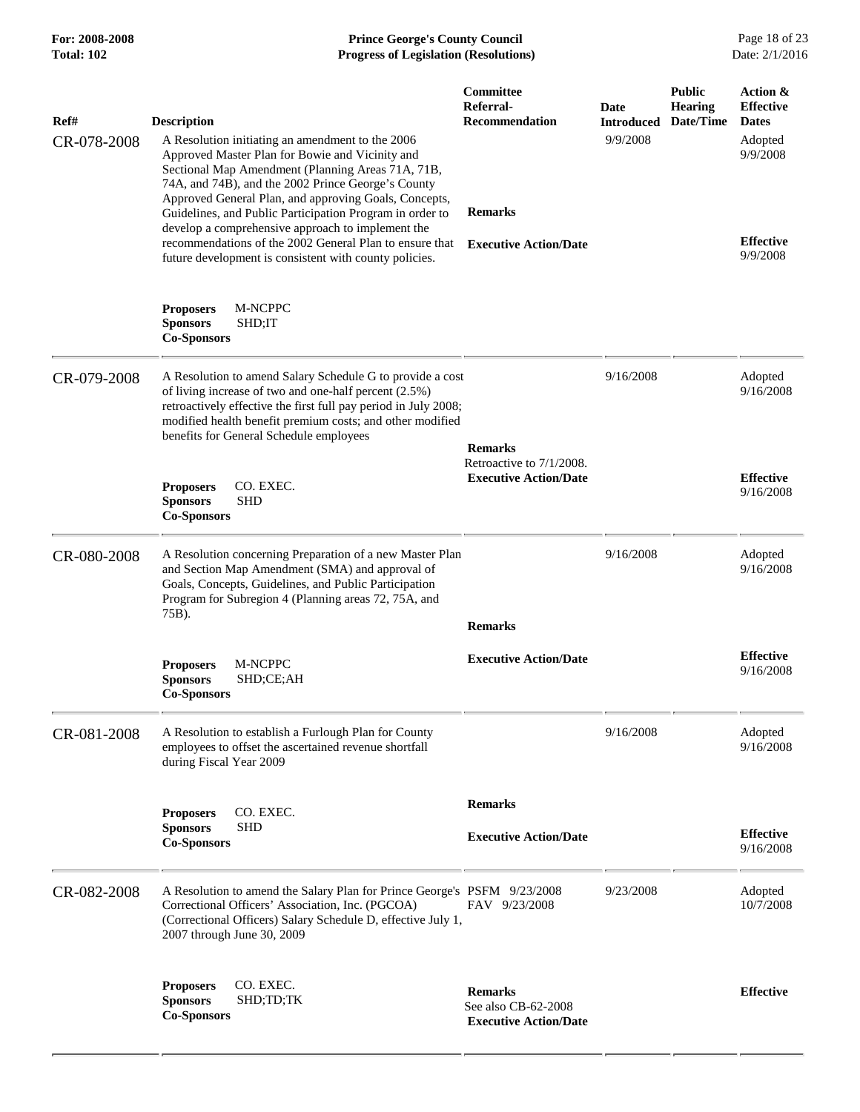## **For: 2008-2008 Prince George's County Council** Page 18 of 23<br>**Progress of Legislation (Resolutions)** Date: 2/1/2016 **Total: 102 Progress of Legislation (Resolutions)**

| Ref#<br>CR-078-2008 | <b>Description</b><br>A Resolution initiating an amendment to the 2006<br>Approved Master Plan for Bowie and Vicinity and<br>Sectional Map Amendment (Planning Areas 71A, 71B,<br>74A, and 74B), and the 2002 Prince George's County<br>Approved General Plan, and approving Goals, Concepts,<br>Guidelines, and Public Participation Program in order to<br>develop a comprehensive approach to implement the<br>recommendations of the 2002 General Plan to ensure that<br>future development is consistent with county policies. | Committee<br>Referral-<br><b>Recommendation</b><br><b>Remarks</b><br><b>Executive Action/Date</b> | Date<br><b>Introduced</b><br>9/9/2008 | <b>Public</b><br><b>Hearing</b><br>Date/Time | Action &<br><b>Effective</b><br><b>Dates</b><br>Adopted<br>9/9/2008<br><b>Effective</b><br>9/9/2008 |
|---------------------|-------------------------------------------------------------------------------------------------------------------------------------------------------------------------------------------------------------------------------------------------------------------------------------------------------------------------------------------------------------------------------------------------------------------------------------------------------------------------------------------------------------------------------------|---------------------------------------------------------------------------------------------------|---------------------------------------|----------------------------------------------|-----------------------------------------------------------------------------------------------------|
|                     | <b>Proposers</b><br>M-NCPPC<br><b>Sponsors</b><br>SHD;IT<br><b>Co-Sponsors</b>                                                                                                                                                                                                                                                                                                                                                                                                                                                      |                                                                                                   |                                       |                                              |                                                                                                     |
| CR-079-2008         | A Resolution to amend Salary Schedule G to provide a cost<br>of living increase of two and one-half percent (2.5%)<br>retroactively effective the first full pay period in July 2008;<br>modified health benefit premium costs; and other modified<br>benefits for General Schedule employees                                                                                                                                                                                                                                       | <b>Remarks</b>                                                                                    | 9/16/2008                             |                                              | Adopted<br>9/16/2008                                                                                |
|                     | CO. EXEC.<br><b>Proposers</b><br><b>Sponsors</b><br><b>SHD</b><br><b>Co-Sponsors</b>                                                                                                                                                                                                                                                                                                                                                                                                                                                | Retroactive to 7/1/2008.<br><b>Executive Action/Date</b>                                          |                                       | <b>Effective</b><br>9/16/2008                |                                                                                                     |
| CR-080-2008         | A Resolution concerning Preparation of a new Master Plan<br>and Section Map Amendment (SMA) and approval of<br>Goals, Concepts, Guidelines, and Public Participation<br>Program for Subregion 4 (Planning areas 72, 75A, and<br>75B).                                                                                                                                                                                                                                                                                               | <b>Remarks</b>                                                                                    | 9/16/2008                             |                                              | Adopted<br>9/16/2008                                                                                |
|                     | M-NCPPC<br><b>Proposers</b><br><b>Sponsors</b><br>SHD;CE;AH<br><b>Co-Sponsors</b>                                                                                                                                                                                                                                                                                                                                                                                                                                                   | <b>Executive Action/Date</b>                                                                      |                                       |                                              | <b>Effective</b><br>9/16/2008                                                                       |
| CR-081-2008         | A Resolution to establish a Furlough Plan for County<br>employees to offset the ascertained revenue shortfall<br>during Fiscal Year 2009                                                                                                                                                                                                                                                                                                                                                                                            |                                                                                                   | 9/16/2008                             |                                              | Adopted<br>9/16/2008                                                                                |
|                     | CO. EXEC.<br><b>Proposers</b><br><b>Sponsors</b><br>SHD<br><b>Co-Sponsors</b>                                                                                                                                                                                                                                                                                                                                                                                                                                                       | <b>Remarks</b><br><b>Executive Action/Date</b>                                                    |                                       |                                              | <b>Effective</b><br>9/16/2008                                                                       |
| CR-082-2008         | A Resolution to amend the Salary Plan for Prince George's PSFM 9/23/2008<br>Correctional Officers' Association, Inc. (PGCOA)<br>(Correctional Officers) Salary Schedule D, effective July 1,<br>2007 through June 30, 2009                                                                                                                                                                                                                                                                                                          | FAV 9/23/2008                                                                                     | 9/23/2008                             |                                              | Adopted<br>10/7/2008                                                                                |
|                     | CO. EXEC.<br><b>Proposers</b><br><b>Sponsors</b><br>SHD;TD;TK<br><b>Co-Sponsors</b>                                                                                                                                                                                                                                                                                                                                                                                                                                                 | <b>Remarks</b><br>See also CB-62-2008<br><b>Executive Action/Date</b>                             |                                       |                                              | <b>Effective</b>                                                                                    |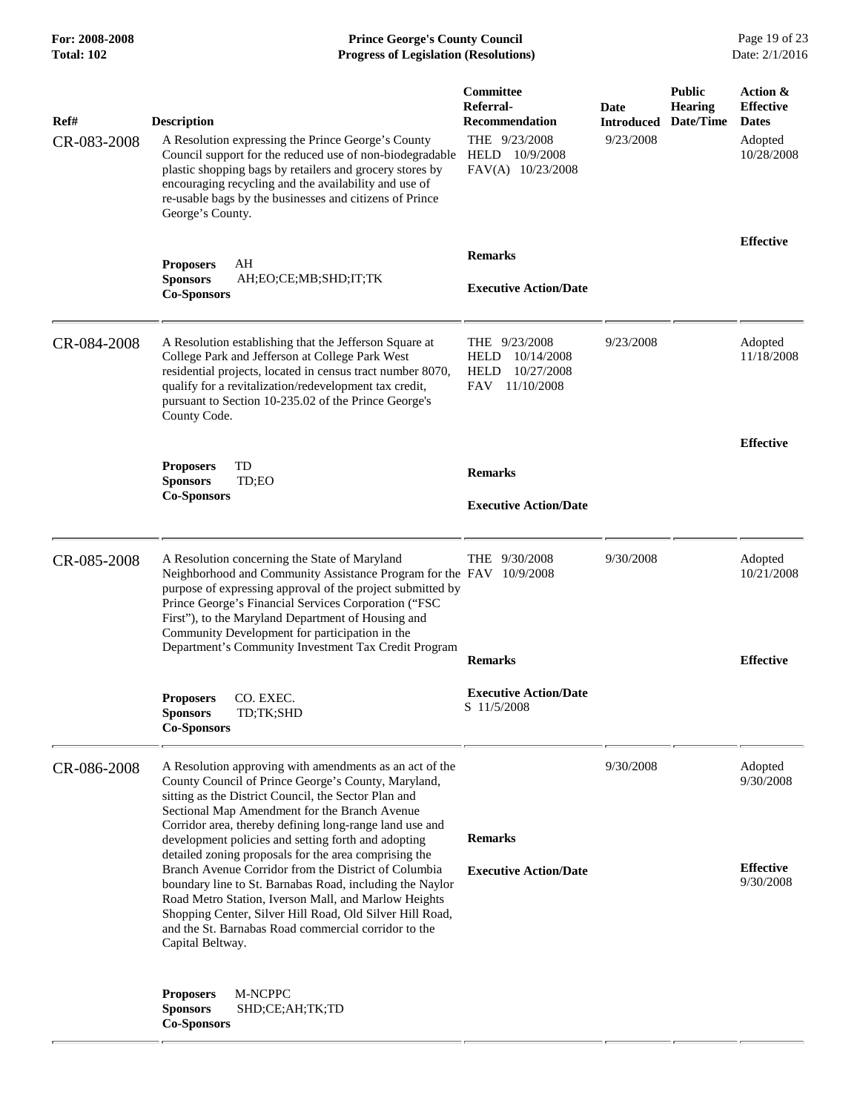**For: 2008-2008 Prince George's County Council** Page 19 of 23<br>**Progress of Legislation (Resolutions)** Date: 2/1/2016 **Total: 102 Progress of Legislation (Resolutions)** 

| Ref#<br>CR-083-2008 | <b>Description</b><br>A Resolution expressing the Prince George's County<br>Council support for the reduced use of non-biodegradable<br>plastic shopping bags by retailers and grocery stores by<br>encouraging recycling and the availability and use of<br>re-usable bags by the businesses and citizens of Prince<br>George's County.                                                                                                                                                                                                                                                                                                   | <b>Committee</b><br>Referral-<br><b>Recommendation</b><br>THE 9/23/2008<br>HELD 10/9/2008<br>FAV(A) 10/23/2008 | Date<br><b>Introduced</b><br>9/23/2008 | <b>Public</b><br><b>Hearing</b><br>Date/Time | Action &<br><b>Effective</b><br><b>Dates</b><br>Adopted<br>10/28/2008 |
|---------------------|--------------------------------------------------------------------------------------------------------------------------------------------------------------------------------------------------------------------------------------------------------------------------------------------------------------------------------------------------------------------------------------------------------------------------------------------------------------------------------------------------------------------------------------------------------------------------------------------------------------------------------------------|----------------------------------------------------------------------------------------------------------------|----------------------------------------|----------------------------------------------|-----------------------------------------------------------------------|
|                     | AH<br><b>Proposers</b><br><b>Sponsors</b><br>AH;EO;CE;MB;SHD;IT;TK<br><b>Co-Sponsors</b>                                                                                                                                                                                                                                                                                                                                                                                                                                                                                                                                                   | <b>Remarks</b><br><b>Executive Action/Date</b>                                                                 |                                        |                                              | <b>Effective</b>                                                      |
| CR-084-2008         | A Resolution establishing that the Jefferson Square at<br>College Park and Jefferson at College Park West<br>residential projects, located in census tract number 8070,<br>qualify for a revitalization/redevelopment tax credit,<br>pursuant to Section 10-235.02 of the Prince George's<br>County Code.                                                                                                                                                                                                                                                                                                                                  | THE $9/23/2008$<br>10/14/2008<br><b>HELD</b><br>10/27/2008<br>HELD<br><b>FAV</b><br>11/10/2008                 | 9/23/2008                              |                                              | Adopted<br>11/18/2008                                                 |
|                     | TD<br><b>Proposers</b><br><b>Sponsors</b><br>TD;EO<br><b>Co-Sponsors</b>                                                                                                                                                                                                                                                                                                                                                                                                                                                                                                                                                                   | <b>Remarks</b><br><b>Executive Action/Date</b>                                                                 |                                        |                                              | <b>Effective</b>                                                      |
| CR-085-2008         | A Resolution concerning the State of Maryland<br>Neighborhood and Community Assistance Program for the FAV 10/9/2008<br>purpose of expressing approval of the project submitted by<br>Prince George's Financial Services Corporation ("FSC<br>First"), to the Maryland Department of Housing and<br>Community Development for participation in the<br>Department's Community Investment Tax Credit Program                                                                                                                                                                                                                                 | THE $9/30/2008$<br><b>Remarks</b>                                                                              | 9/30/2008                              |                                              | Adopted<br>10/21/2008<br><b>Effective</b>                             |
|                     | CO. EXEC.<br><b>Proposers</b><br><b>Sponsors</b><br>TD;TK;SHD<br><b>Co-Sponsors</b>                                                                                                                                                                                                                                                                                                                                                                                                                                                                                                                                                        | <b>Executive Action/Date</b><br>S 11/5/2008                                                                    |                                        |                                              |                                                                       |
| CR-086-2008         | A Resolution approving with amendments as an act of the<br>County Council of Prince George's County, Maryland,<br>sitting as the District Council, the Sector Plan and<br>Sectional Map Amendment for the Branch Avenue<br>Corridor area, thereby defining long-range land use and<br>development policies and setting forth and adopting<br>detailed zoning proposals for the area comprising the<br>Branch Avenue Corridor from the District of Columbia<br>boundary line to St. Barnabas Road, including the Naylor<br>Road Metro Station, Iverson Mall, and Marlow Heights<br>Shopping Center, Silver Hill Road, Old Silver Hill Road, | <b>Remarks</b><br><b>Executive Action/Date</b>                                                                 | 9/30/2008                              |                                              | Adopted<br>9/30/2008<br><b>Effective</b><br>9/30/2008                 |
|                     | and the St. Barnabas Road commercial corridor to the<br>Capital Beltway.<br>M-NCPPC<br><b>Proposers</b><br><b>Sponsors</b><br>SHD;CE;AH;TK;TD<br><b>Co-Sponsors</b>                                                                                                                                                                                                                                                                                                                                                                                                                                                                        |                                                                                                                |                                        |                                              |                                                                       |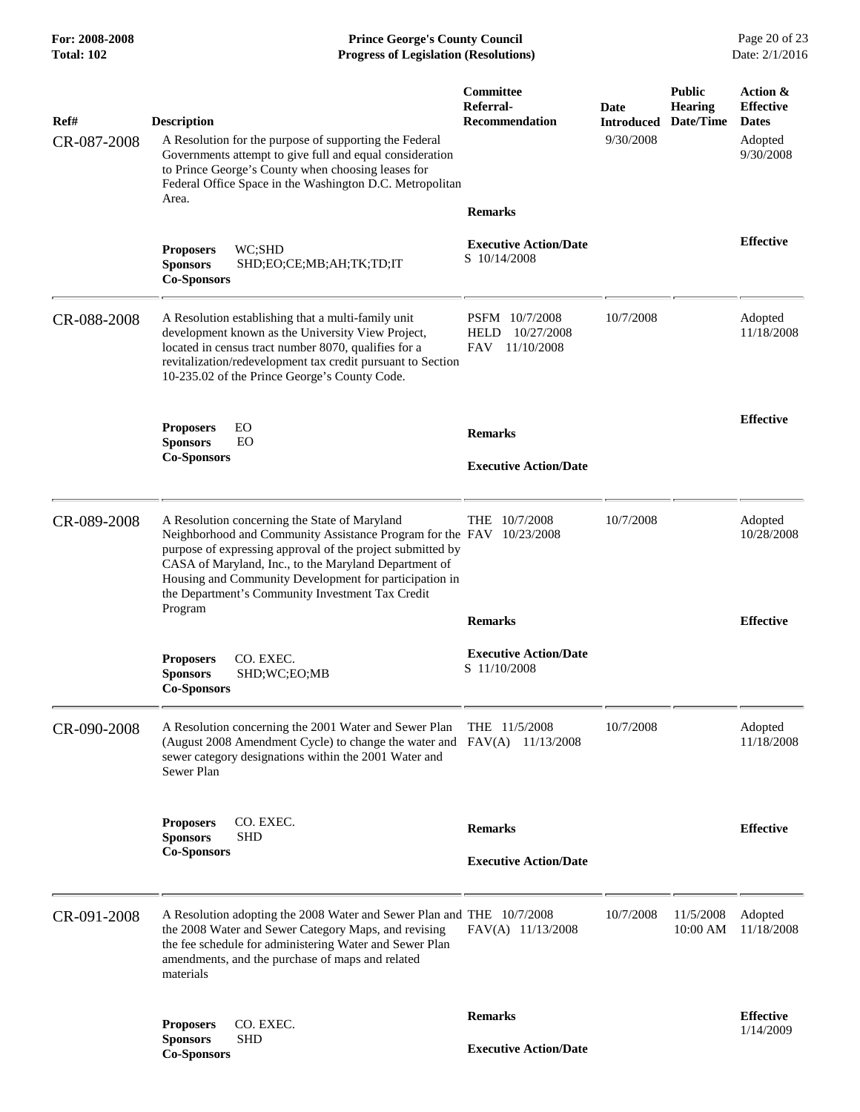**For: 2008-2008 Prince George's County Council** Page 20 of 23<br>**Progress of Legislation (Resolutions)** Date: 2/1/2016 **Total: 102 Progress of Legislation (Resolutions)** 

| Ref#<br>CR-087-2008 | <b>Description</b><br>A Resolution for the purpose of supporting the Federal<br>Governments attempt to give full and equal consideration<br>to Prince George's County when choosing leases for<br>Federal Office Space in the Washington D.C. Metropolitan<br>Area.                                                                                                   | Committee<br>Referral-<br><b>Recommendation</b>                         | Date<br><b>Introduced Date/Time</b><br>9/30/2008 | <b>Public</b><br><b>Hearing</b> | Action &<br><b>Effective</b><br><b>Dates</b><br>Adopted<br>9/30/2008 |
|---------------------|-----------------------------------------------------------------------------------------------------------------------------------------------------------------------------------------------------------------------------------------------------------------------------------------------------------------------------------------------------------------------|-------------------------------------------------------------------------|--------------------------------------------------|---------------------------------|----------------------------------------------------------------------|
|                     | WC:SHD<br><b>Proposers</b><br><b>Sponsors</b><br>SHD;EO;CE;MB;AH;TK;TD;IT<br><b>Co-Sponsors</b>                                                                                                                                                                                                                                                                       | <b>Remarks</b><br><b>Executive Action/Date</b><br>S 10/14/2008          |                                                  |                                 | <b>Effective</b>                                                     |
| CR-088-2008         | A Resolution establishing that a multi-family unit<br>development known as the University View Project,<br>located in census tract number 8070, qualifies for a<br>revitalization/redevelopment tax credit pursuant to Section<br>10-235.02 of the Prince George's County Code.                                                                                       | PSFM 10/7/2008<br>10/27/2008<br><b>HELD</b><br><b>FAV</b><br>11/10/2008 | 10/7/2008                                        |                                 | Adopted<br>11/18/2008                                                |
|                     | <b>Proposers</b><br>EO<br><b>Sponsors</b><br>EO<br><b>Co-Sponsors</b>                                                                                                                                                                                                                                                                                                 | <b>Remarks</b><br><b>Executive Action/Date</b>                          |                                                  |                                 | <b>Effective</b>                                                     |
| CR-089-2008         | A Resolution concerning the State of Maryland<br>Neighborhood and Community Assistance Program for the FAV 10/23/2008<br>purpose of expressing approval of the project submitted by<br>CASA of Maryland, Inc., to the Maryland Department of<br>Housing and Community Development for participation in<br>the Department's Community Investment Tax Credit<br>Program | THE $10/7/2008$<br><b>Remarks</b>                                       | 10/7/2008                                        |                                 | Adopted<br>10/28/2008<br><b>Effective</b>                            |
|                     | <b>Proposers</b><br>CO. EXEC.<br><b>Sponsors</b><br>SHD;WC;EO;MB<br><b>Co-Sponsors</b>                                                                                                                                                                                                                                                                                | <b>Executive Action/Date</b><br>S 11/10/2008                            |                                                  |                                 |                                                                      |
| CR-090-2008         | A Resolution concerning the 2001 Water and Sewer Plan<br>(August 2008 Amendment Cycle) to change the water and FAV(A) 11/13/2008<br>sewer category designations within the 2001 Water and<br>Sewer Plan                                                                                                                                                               | THE 11/5/2008                                                           | 10/7/2008                                        |                                 | Adopted<br>11/18/2008                                                |
|                     | <b>Proposers</b><br>CO. EXEC.<br><b>SHD</b><br><b>Sponsors</b><br><b>Co-Sponsors</b>                                                                                                                                                                                                                                                                                  | <b>Remarks</b><br><b>Executive Action/Date</b>                          |                                                  |                                 | <b>Effective</b>                                                     |
| CR-091-2008         | A Resolution adopting the 2008 Water and Sewer Plan and THE 10/7/2008<br>the 2008 Water and Sewer Category Maps, and revising<br>the fee schedule for administering Water and Sewer Plan<br>amendments, and the purchase of maps and related<br>materials                                                                                                             | FAV(A) 11/13/2008                                                       | 10/7/2008                                        | 11/5/2008<br>10:00 AM           | Adopted<br>11/18/2008                                                |
|                     | <b>Proposers</b><br>CO. EXEC.<br><b>SHD</b><br><b>Sponsors</b><br><b>Co-Sponsors</b>                                                                                                                                                                                                                                                                                  | <b>Remarks</b><br><b>Executive Action/Date</b>                          |                                                  |                                 | <b>Effective</b><br>1/14/2009                                        |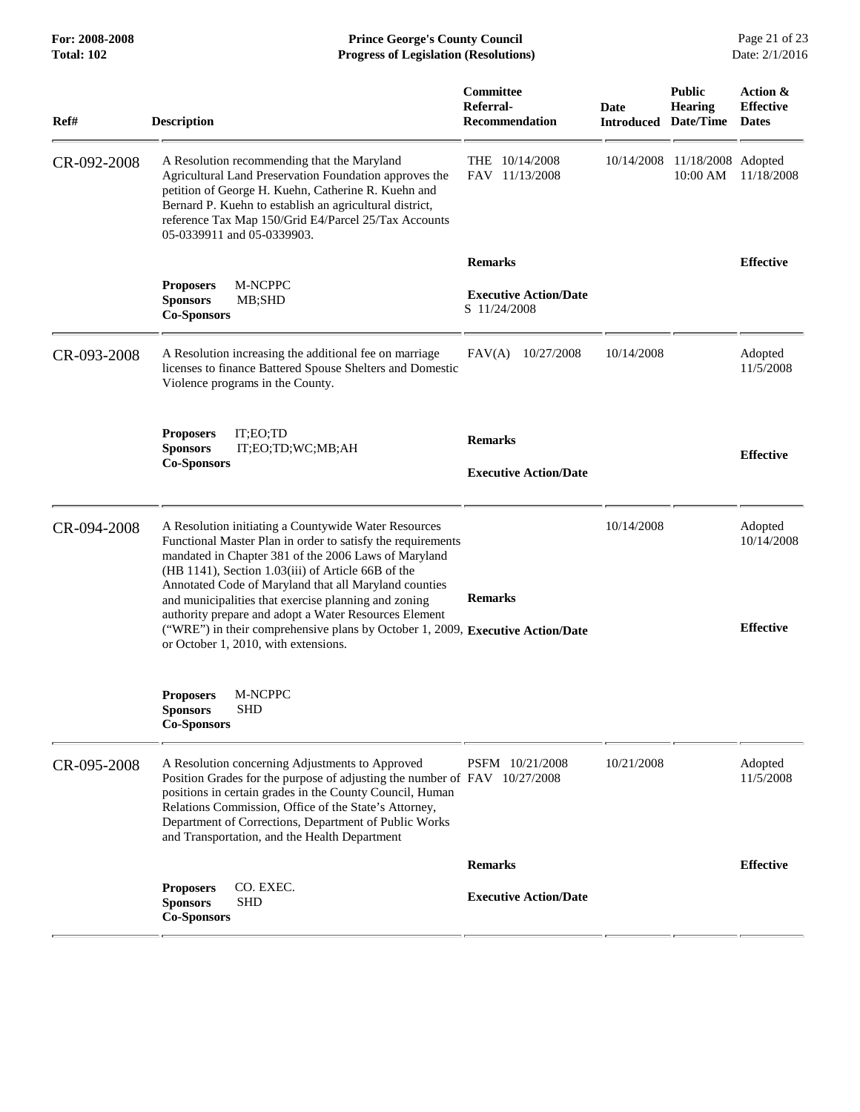## **For: 2008-2008 Prince George's County Council** Page 21 of 23<br>**Progress of Legislation (Resolutions)** Date: 2/1/2016 **Total: 102 Progress of Legislation (Resolutions)**

| Ref#        | <b>Description</b>                                                                                                                                                                                                                                                                                                                                                                                                                                                                                                                    | Committee<br>Referral-<br><b>Recommendation</b> | Date<br><b>Introduced</b> | <b>Public</b><br><b>Hearing</b><br>Date/Time | Action &<br><b>Effective</b><br><b>Dates</b> |
|-------------|---------------------------------------------------------------------------------------------------------------------------------------------------------------------------------------------------------------------------------------------------------------------------------------------------------------------------------------------------------------------------------------------------------------------------------------------------------------------------------------------------------------------------------------|-------------------------------------------------|---------------------------|----------------------------------------------|----------------------------------------------|
| CR-092-2008 | A Resolution recommending that the Maryland<br>Agricultural Land Preservation Foundation approves the<br>petition of George H. Kuehn, Catherine R. Kuehn and<br>Bernard P. Kuehn to establish an agricultural district,<br>reference Tax Map 150/Grid E4/Parcel 25/Tax Accounts<br>05-0339911 and 05-0339903.                                                                                                                                                                                                                         | THE 10/14/2008<br>FAV 11/13/2008                | 10/14/2008                | 11/18/2008 Adopted<br>10:00 AM               | 11/18/2008                                   |
|             |                                                                                                                                                                                                                                                                                                                                                                                                                                                                                                                                       | <b>Remarks</b>                                  |                           |                                              | <b>Effective</b>                             |
|             | M-NCPPC<br><b>Proposers</b><br><b>Sponsors</b><br>MB;SHD<br><b>Co-Sponsors</b>                                                                                                                                                                                                                                                                                                                                                                                                                                                        | <b>Executive Action/Date</b><br>S 11/24/2008    |                           |                                              |                                              |
| CR-093-2008 | A Resolution increasing the additional fee on marriage<br>licenses to finance Battered Spouse Shelters and Domestic<br>Violence programs in the County.                                                                                                                                                                                                                                                                                                                                                                               | FAV(A)<br>10/27/2008                            | 10/14/2008                |                                              | Adopted<br>11/5/2008                         |
|             | IT;EO;TD<br><b>Proposers</b><br><b>Sponsors</b><br>IT;EO;TD;WC;MB;AH<br><b>Co-Sponsors</b>                                                                                                                                                                                                                                                                                                                                                                                                                                            | <b>Remarks</b><br><b>Executive Action/Date</b>  |                           |                                              | <b>Effective</b>                             |
| CR-094-2008 | A Resolution initiating a Countywide Water Resources<br>Functional Master Plan in order to satisfy the requirements<br>mandated in Chapter 381 of the 2006 Laws of Maryland<br>(HB 1141), Section 1.03(iii) of Article 66B of the<br>Annotated Code of Maryland that all Maryland counties<br>and municipalities that exercise planning and zoning<br>authority prepare and adopt a Water Resources Element<br>("WRE") in their comprehensive plans by October 1, 2009, Executive Action/Date<br>or October 1, 2010, with extensions. | <b>Remarks</b>                                  | 10/14/2008                |                                              | Adopted<br>10/14/2008<br><b>Effective</b>    |
|             | M-NCPPC<br><b>Proposers</b><br>SHD<br><b>Sponsors</b><br><b>Co-Sponsors</b>                                                                                                                                                                                                                                                                                                                                                                                                                                                           |                                                 |                           |                                              |                                              |
| CR-095-2008 | A Resolution concerning Adjustments to Approved<br>Position Grades for the purpose of adjusting the number of FAV 10/27/2008<br>positions in certain grades in the County Council, Human<br>Relations Commission, Office of the State's Attorney,<br>Department of Corrections, Department of Public Works<br>and Transportation, and the Health Department                                                                                                                                                                           | PSFM 10/21/2008                                 | 10/21/2008                |                                              | Adopted<br>11/5/2008                         |
|             |                                                                                                                                                                                                                                                                                                                                                                                                                                                                                                                                       | <b>Remarks</b>                                  |                           |                                              | <b>Effective</b>                             |
|             | CO. EXEC.<br><b>Proposers</b><br><b>Sponsors</b><br><b>SHD</b><br><b>Co-Sponsors</b>                                                                                                                                                                                                                                                                                                                                                                                                                                                  | <b>Executive Action/Date</b>                    |                           |                                              |                                              |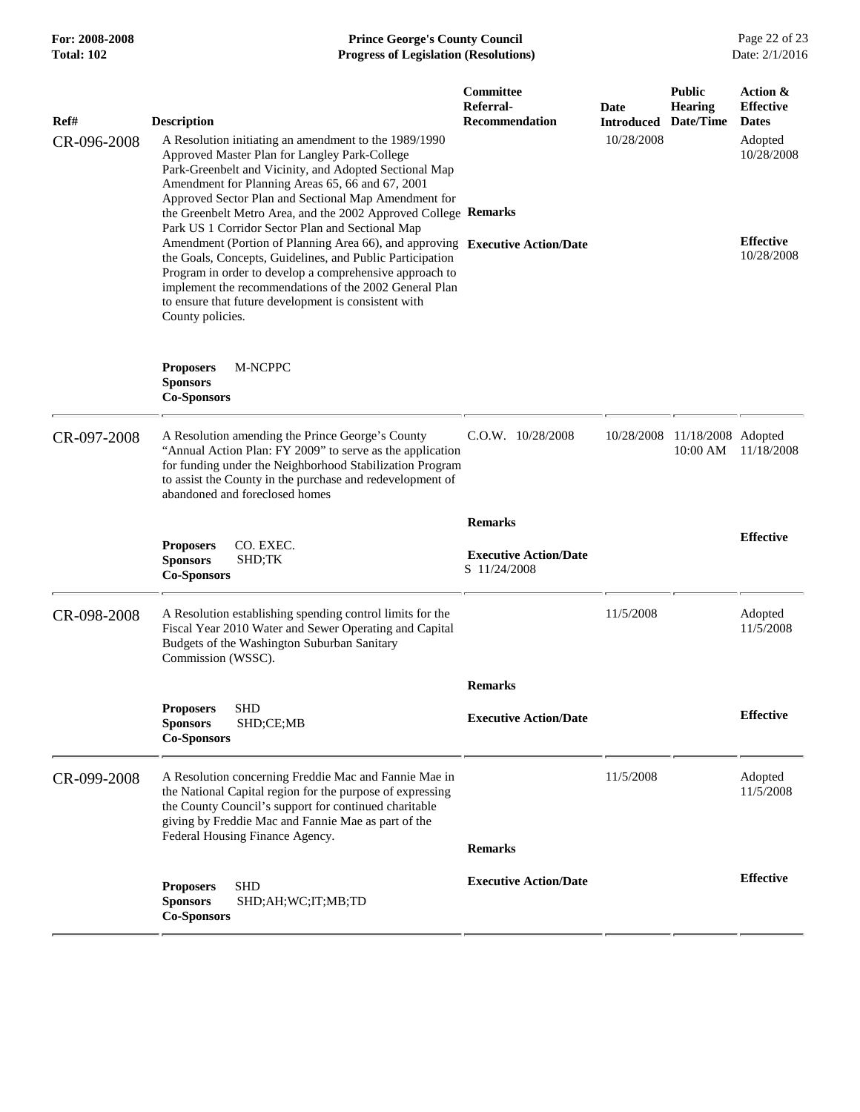#### **For: 2008-2008 Prince George's County Council** Page 22 of 23<br>**Progress of Legislation (Resolutions)** Date: 2/1/2016 **Total: 102 Progress of Legislation (Resolutions)**

| Ref#        | <b>Description</b>                                                                                                                                                                                                                                                                                                                                                                                                                                                | Committee<br><b>Referral-</b><br><b>Recommendation</b>         | Date<br>Introduced | <b>Public</b><br><b>Hearing</b><br>Date/Time | Action &<br><b>Effective</b><br><b>Dates</b> |
|-------------|-------------------------------------------------------------------------------------------------------------------------------------------------------------------------------------------------------------------------------------------------------------------------------------------------------------------------------------------------------------------------------------------------------------------------------------------------------------------|----------------------------------------------------------------|--------------------|----------------------------------------------|----------------------------------------------|
| CR-096-2008 | A Resolution initiating an amendment to the 1989/1990<br>Approved Master Plan for Langley Park-College<br>Park-Greenbelt and Vicinity, and Adopted Sectional Map<br>Amendment for Planning Areas 65, 66 and 67, 2001<br>Approved Sector Plan and Sectional Map Amendment for                                                                                                                                                                                      |                                                                | 10/28/2008         |                                              | Adopted<br>10/28/2008                        |
|             | the Greenbelt Metro Area, and the 2002 Approved College Remarks<br>Park US 1 Corridor Sector Plan and Sectional Map<br>Amendment (Portion of Planning Area 66), and approving Executive Action/Date<br>the Goals, Concepts, Guidelines, and Public Participation<br>Program in order to develop a comprehensive approach to<br>implement the recommendations of the 2002 General Plan<br>to ensure that future development is consistent with<br>County policies. |                                                                |                    |                                              | <b>Effective</b><br>10/28/2008               |
|             | <b>Proposers</b><br>M-NCPPC<br><b>Sponsors</b><br><b>Co-Sponsors</b>                                                                                                                                                                                                                                                                                                                                                                                              |                                                                |                    |                                              |                                              |
| CR-097-2008 | A Resolution amending the Prince George's County<br>"Annual Action Plan: FY 2009" to serve as the application<br>for funding under the Neighborhood Stabilization Program<br>to assist the County in the purchase and redevelopment of<br>abandoned and foreclosed homes                                                                                                                                                                                          | C.O.W. 10/28/2008                                              | 10/28/2008         | 11/18/2008 Adopted<br>10:00 AM               | 11/18/2008                                   |
|             | <b>Proposers</b><br>CO. EXEC.<br><b>Sponsors</b><br>SHD;TK<br><b>Co-Sponsors</b>                                                                                                                                                                                                                                                                                                                                                                                  | <b>Remarks</b><br><b>Executive Action/Date</b><br>S 11/24/2008 |                    |                                              | <b>Effective</b>                             |
| CR-098-2008 | A Resolution establishing spending control limits for the<br>Fiscal Year 2010 Water and Sewer Operating and Capital<br>Budgets of the Washington Suburban Sanitary<br>Commission (WSSC).                                                                                                                                                                                                                                                                          |                                                                | 11/5/2008          |                                              | Adopted<br>11/5/2008                         |
|             | <b>SHD</b><br><b>Proposers</b><br>SHD;CE;MB<br><b>Sponsors</b><br><b>Co-Sponsors</b>                                                                                                                                                                                                                                                                                                                                                                              | <b>Remarks</b><br><b>Executive Action/Date</b>                 |                    |                                              | <b>Effective</b>                             |
| CR-099-2008 | A Resolution concerning Freddie Mac and Fannie Mae in<br>the National Capital region for the purpose of expressing<br>the County Council's support for continued charitable<br>giving by Freddie Mac and Fannie Mae as part of the<br>Federal Housing Finance Agency.                                                                                                                                                                                             | <b>Remarks</b>                                                 | 11/5/2008          |                                              | Adopted<br>11/5/2008                         |
|             | <b>SHD</b><br><b>Proposers</b><br>SHD;AH;WC;IT;MB;TD<br><b>Sponsors</b><br><b>Co-Sponsors</b>                                                                                                                                                                                                                                                                                                                                                                     | <b>Executive Action/Date</b>                                   |                    |                                              | <b>Effective</b>                             |